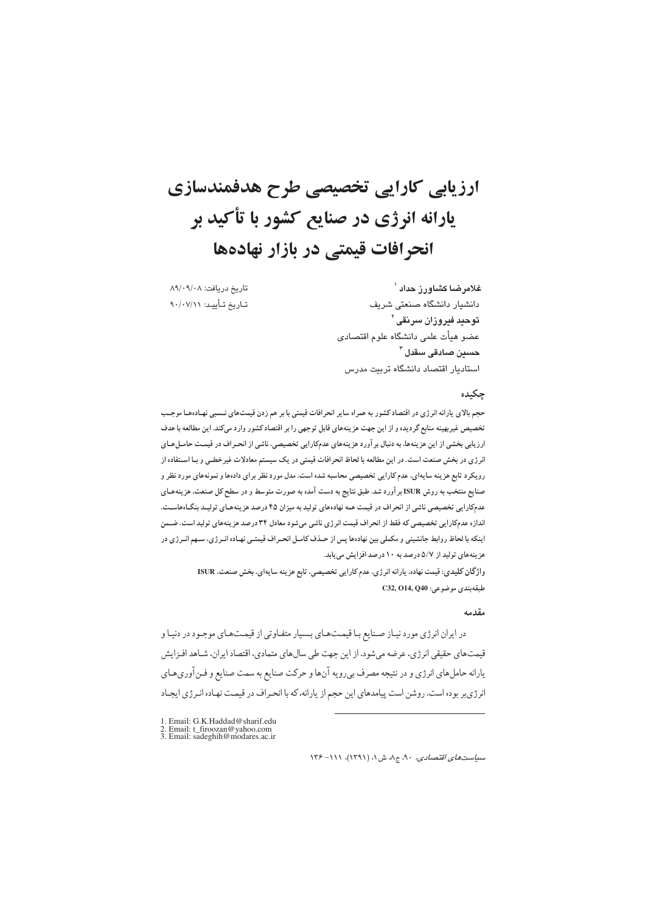# ارزیابی کارایی تخصیصی طرح هدفمندسازی يارانه انرژي در صنايع کشور با تأکيد بر انحر افات قیمتی در بازار نهادهها

تاريخ دريافت: ٨٩/٠٩/٠٨ تــاريخ تــأييــد: ٩٠/٠٧/١١

غلامرضا كشاورز حداد <sup>\</sup> دانشیار دانشگاه صنعتی شریف توحيد فيروزان سرنقى ` عضو هيأت علمى دانشگاه علوم اقتصادى حسين صادقى سقدل <sup>٣</sup> استادیار اقتصاد دانشگاه تربیت مدرس

#### چکیده

حجم بالای یارانه انرژی در اقتصاد کشور به همراه سایر انحرافات قیمتی با بر هم زدن قیمتهای نـسبی نهـادهـا موجـب تخصیص غیربهینه منابع گردیده و از این جهت هزینههای قابل توجهی را بر اقتصاد کشور وارد میکند. این مطالعه با هدف ارزیابی بخشی از این هزینهها، به دنبال بر آورد هزینههای عدمکارایی تخصیصی، ناشی از انحـراف در قیمـت حامـلهـای انرژی در بخش صنعت است. در این مطالعه با لحاظ انحرافات قیمتی در یک سیستم معادلات غیرخطـی و بـا اسـتفاده از رویکرد تابع هزینه سایهای، عدم کارایی تخصیصی محاسبه شده است. مدل مورد نظر برای دادهها و نمونههای مورد نظر و صنایع منتخب به روش ISUR بر آورد شد. طبق نتایج به دست آمده به صورت متوسط و در سطح کل صنعت، هزینههـای عدمکارایی تخصیصی ناشی از انحراف در قیمت همه نهادههای تولید به میزان ۴۵ درصد هزینههای تولیـد بنگـاههاسـت. اندازه عدمکارایی تخصیصی که فقط از انحراف قیمت انرژی ناشی میشود معادل ۳۴ درصد هزینههای تولید است. ضــمن اینکه با لحاظ روابط جانشینی و مکملی بین نهادهها پس از حـذف کامـل انحـراف قیمتـی نهـاده انـر ژی، سـهم انـرژی در هزینههای تولید از ۵/۷ درصد به ۱۰ درصد افزایش می یابد.

> واژگان كليدي: قيمت نهاده، يارانه انرژي، عدم كارايي تخصيصي، تابع هزينه سايهاي، بخش صنعت، ISUR طبقەبندى موضوعى: C32, O14, Q40

#### مقدمه

در ایران انرژی مورد نیاز صنایع با قیمتهای بسیار متفاوتی از قیمتهای موجود در دنیا و قیمتهای حقیقی انرژی، عرضه می شود. از این جهت طی سالهای متمادی، اقتصاد ایران، شـاهد افـزایش یارانه حاملهای انرژی و در نتیجه مصرف بیرویه آنها و حرکت صنایع به سمت صنایع و فـنآوریهـای انرژیبر بوده است. روشن است پیامدهای این حجم از یارانه، که با انحراف در قیمت نهاده انـرژی ایجـاد

- 1. Email: G.K.Haddad@sharif.edu<br>2. Email: t\_firoozan@yahoo.com<br>3. Email: sadeghih@modares.ac.ir
- 

 $N^2 - N$ سیاستهای /قتصادی، ۹۰، ج۸، ش ۱، (۱۳۹۱)، ۱۱۱– ۱۳۶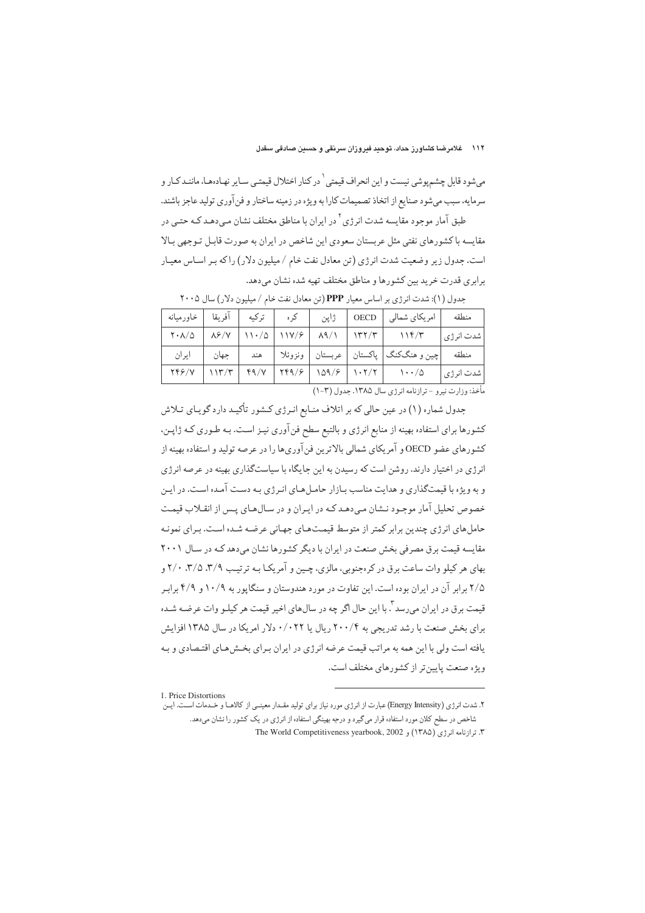مي شود قابل چشم يوشي نيست و اين انحراف قيمتي ` در كنار اختلال قيمتـي سـاير نهـادهـا، ماننـد كـار و سرمايه، سبب مي شود صنايع از اتخاذ تصميمات كارا به ويژه در زمينه ساختار و فن آوري توليد عاجز باشند. طبق آمار موجود مقایسه شدت انرژی<sup>۲</sup> در ایران با مناطق مختلف نشان مـی،دهـد کـه حتـی در

مقایسه با کشورهای نفتی مثل عربستان سعودی این شاخص در ایران به صورت قابـل تـوجهی بـالا است. جدول زیر وضعیت شدت انرژی (تن معادل نفت خام / میلیون دلار) را که بـر اسـاس معیـار برایری قدرت خرید بین کشورها و مناطق مختلف تهیه شده نشان می دهد.

| ترکیه   آفریقا   خاورمیانه               |       | کر ہ |      |                                                                                                                                                                                                                               | منطقه       |
|------------------------------------------|-------|------|------|-------------------------------------------------------------------------------------------------------------------------------------------------------------------------------------------------------------------------------|-------------|
|                                          |       |      | ژاپن | امریکای شمالی   OECD                                                                                                                                                                                                          |             |
| $\mathsf{Y} \cdot \mathsf{A}/\mathsf{Q}$ |       |      |      | $\lambda$ / $V$   11./ $\Delta$   11V/ $\ell$   $\lambda$ 9/1   1۳۲/۳   11F/۳                                                                                                                                                 | شدت انرژی ا |
| ايران                                    | جهان  |      |      | چین و هنگکنگ  پاکستان   عربستان   ونزوئلا     هند                                                                                                                                                                             | منطقه       |
| <b>TFF/V</b>                             | 117/T |      |      | $f9/Y$   $f99/5$   $109/5$   $1.7/7$   $1.1/0$                                                                                                                                                                                | شدت انرژی   |
|                                          |       |      |      | . The contract of the contract of the contract of the contract of the contract of the contract of the contract of the contract of the contract of the contract of the contract of the contract of the contract of the contrac |             |

جدول (١): شدت انرژی بر اساس معیار PPP (تن معادل نفت خام / میلیون دلار) سال ٢٠٠۵

مأخذ: وزارت نيرو - ترازنامه انرژى سال ١٣٨٥. جدول (٣-١)

جدول شماره (۱) در عین حالی که بر اتلاف منـابع انـرژی کـشور تأکیـد دارد گویـای تـلاش کشورها برای استفاده بهینه از منابع انرژی و بالتبع سطح فنآوری نیـز اسـت. بـه طـوری کـه ژاپـن، کشورهای عضو OECD و آمریکای شمالی بالاترین فنآوریها را در عرصه تولید و استفاده بهینه از انرژی در اختیار دارند. روشن است که رسیدن به این جایگاه با سیاستگذاری بهینه در عرصه انرژی و به ویژه با قیمتگذاری و هدایت مناسب بـازار حامـلهـای انـرژی بـه دسـت آمـده اسـت. در ایـن خصوص تحلیل آمار موجبود نیشان میردهید کیه در ایبران و در سیال هیای پیش از انقیلاب قیمت حامل های انرژی چندین برابر کمتر از متوسط قیمت هیای جهانی عرضه شیده است. بیرای نمونیه مقایسه قیمت برق مصرفی بخش صنعت در ایران با دیگر کشورها نشان می دهد کـه در سـال ۲۰۰۱ بهای هر کیلو وات ساعت برق در کرهجنوبی، مالزی، چـین و آمریکـا بـه ترتیـب ۳/۹، ۳/۵، ۲/۰ و ۲/۵ برابر آن در ایران بوده است. این تفاوت در مورد هندوستان و سنگاپور به ۱۰/۹ و ۴/۹ برابر قیمت برق در ایران میرسد <sup>۲</sup>. با این حال اگر چه در سالهای اخیر قیمت هر کیلـو وات عرضـه شـده برای بخش صنعت با رشد تدریجی به ۲۰۰/۴ ریال یا ۰/۰۲۲ دلار امریکا در سال ۱۳۸۵ افزایش یافته است ولی با این همه به مراتب قیمت عرضه انرژی در ایران بـرای بخـش(هـای اقتـصادی و بـه ویژه صنعت پایین تر از کشورهای مختلف است.

<sup>1.</sup> Price Distortions

۲. شدت انرژی (Energy Intensity) عبارت از انرژی مورد نیاز برای تولید مقـدار معینـی از کالاهـا و خـدمات اسـت. ایـن شاخص در سطح کلان مورد استفاده قرار می گیرد و درجه بهینگی استفاده از انرژی در یک کشور را نشان می دهد.

The World Competitiveness yearbook, 2002 ) و The World Competitiveness yearbook, 2002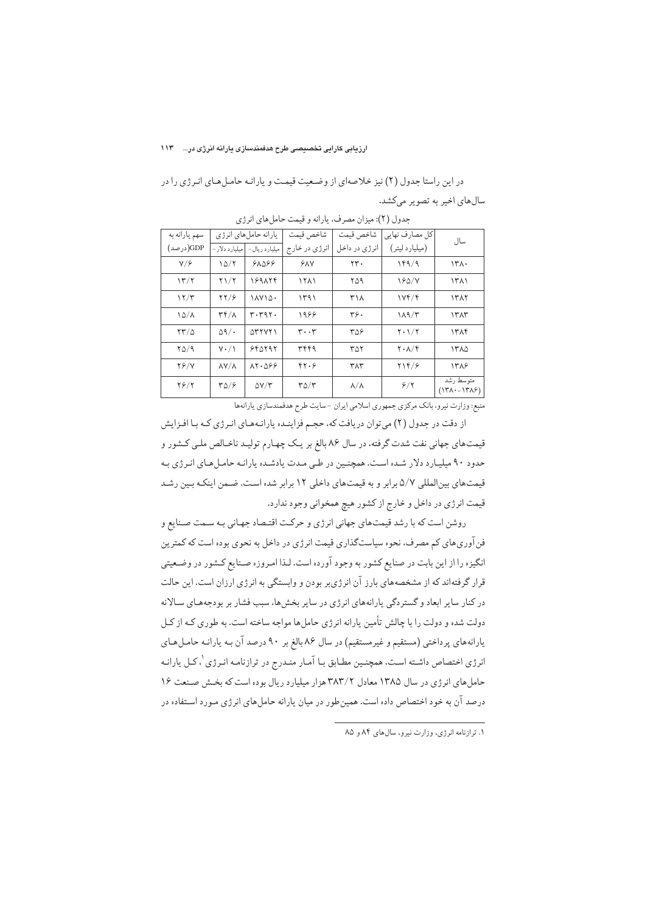در این راستا جدول (۲) نیز خلاصهای از وضـعیت قیمـت و یارانـه حامـلهـای انـرژی را در سال های اخیر به تصویر میکشد.

| سهم يارانه به   |                                   | يارانه حامل هاي انرژي                            | شاخص قيمت                     | شاخص قيمت         | كل مصارف نهايي                           | سال                                    |
|-----------------|-----------------------------------|--------------------------------------------------|-------------------------------|-------------------|------------------------------------------|----------------------------------------|
| GDP(درصد)       | میلیارد دلار -                    | میلیارد ریال-                                    | انرژی در خارج                 | انرژی در داخل     | (میلیارد لیتر)                           |                                        |
| $V/\epsilon$    | 10/7                              | 98089                                            | YAY                           | $\mathbf{y}$ .    | 189/9                                    | ۱۳۸۰                                   |
| 15/7            | $Y\setminus Y$                    | 189174                                           | 1511                          | ۲۵۹               | 180/Y                                    | ۱۳۸۱                                   |
| 17/T            | $\frac{8}{2}$                     | ١٨٧١٥٠                                           | 1491                          | ۳۱۸               | 1Yf/f                                    | 1317                                   |
| $10/\lambda$    | $\mathsf{r}\mathsf{r}/\mathsf{r}$ | r. r q r.                                        | 1988                          | ۳۶.               | 119/T                                    | ١٣٨٣                                   |
| $\frac{84}{10}$ | $\Delta$ 9/.                      | $\Delta$ $\gamma$ $\gamma$                       | $\mathbf{r} \cdot \mathbf{r}$ | 309               | $Y \cdot 1/Y$                            | 1314                                   |
| YQ/9            | $Y \cdot / \Lambda$               | 990997                                           | ٣۴۴٩                          | ۳۵۲               | $\mathbf{Y} \cdot \mathbf{A}/\mathbf{f}$ | ۱۳۸۵                                   |
| $Y$ $Y$         | $\lambda V/\lambda$               | $\lambda Y \cdot \Delta \mathcal{S} \mathcal{S}$ | 44.9                          | ٣٨٣               | 414/9                                    | 1318                                   |
| $Y$ $9$ / $Y$   | TQ/2                              | $\Delta V/T$                                     | $r\rho/r$                     | $\lambda/\lambda$ | 8/7                                      | متوسط رشد<br>$(17\lambda - 17\lambda)$ |

جدول (۲): میزان مصرف، یارانه و قیمت حاملهای انرژی

منبع: وزارت نیرو، بانک مرکزی جمهوری اسلامی ایران – سایت طرح هدفمندسازی یارانهها

از دقت در جدول (۲) میتوان دریافت که، حجـم فزاینـده یارانـههـای انـرژی کـه بـا افـزایش قیمتهای جهانی نفت شدت گرفته، در سال ۸۶ بالغ بر یـک چهـارم تولیـد ناخـالص ملـی کـشور و حدود ۹۰ میلیـارد دلار شـده اسـت. همچنـین در طـی مـدت یادشـده یارانـه حامـلهـای انـرژی بـه قیمتهای بینالمللی ۵/۷ برابر و به قیمتهای داخلی ۱۲ برابر شده است. ضـمن اینکـه بـین رشـد قیمت انرژی در داخل و خارج از کشور هیچ همخوانی وجود ندارد.

روشن است که با رشد قیمتهای جهانی انرژی و حرکت اقتصاد جهـانی بـه سـمت صـنایع و فن آوریهای کم مصرف، نحوه سیاستگذاری قیمت انرژی در داخل به نحوی بوده است که کمترین انگیزه را از این بابت در صنایع کشور به وجود آورده است. لـذا امـروزه صـنایع کـشور در وضـعیتی قرار گرفتهاند که از مشخصههای بارز آن انرژیبر بودن و وابستگی به انرژی ارزان است. این حالت در کنار سایر ابعاد و گستردگی یارانههای انرژی در سایر بخشها، سبب فشار بر بودجههـای سـالانه دولت شده و دولت را با چالش تأمین یارانه انرژی حاملها مواجه ساخته است. به طوری کـه از کـل یارانههای پرداختی (مستقیم و غیرمستقیم) در سال ۸۶ بالغ بر ۹۰ درصد آن بـه یارانـه حامـلهـای انرژی اختصاص داشـته اسـت. همچنـین مطـابق بـا آمـار منـدرج در ترازنامـه انـرژی <sup>۱</sup>، کـل یارانـه حاملهای انرژی در سال ۱۳۸۵ معادل ۳۸۳/۲ هزار میلیارد ریال بوده است که بخـش صـنعت ۱۶ درصد آن به خود اختصاص داده است. همینطور در میان یارانه حاملهای انرژی مـورد اسـتفاده در

 $\overline{a}$ 

۰. ترازنامه انرژی، وزارت نیرو، سالهای ۸۴ و ۸۵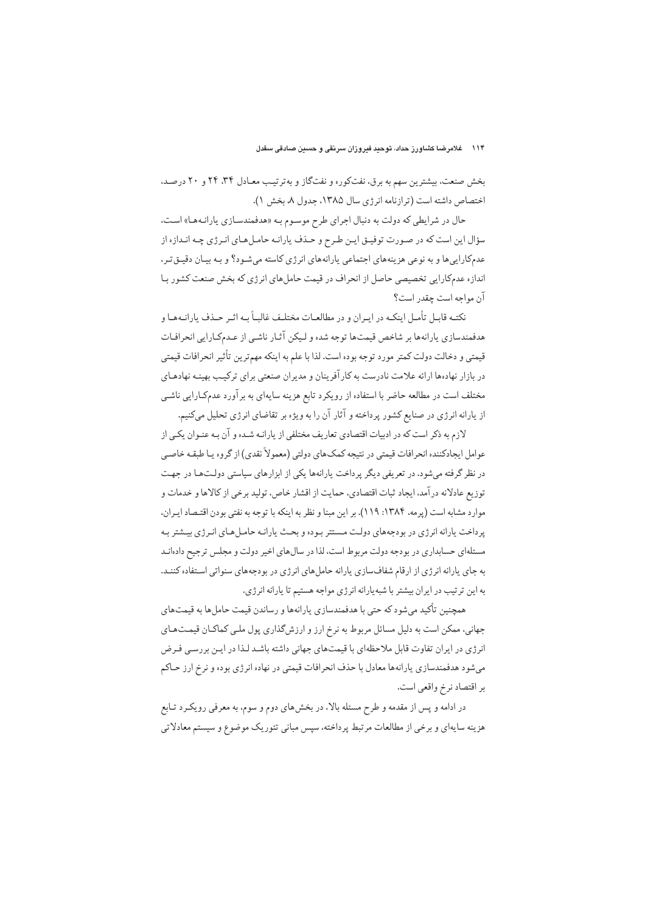بخش صنعت، بیشترین سهم به برق، نفتکوره و نفتگاز و بهترتیب معـادل ۳۴، ۲۴ و ۲۰ درصـد. اختصاص داشته است (ترازنامه انرژی سال ۱۳۸۵، جدول ۸. بخش ۱).

حال در شرايطي كه دولت به دنبال اجراي طرح موسوم بـه «هدفمندسـازي يارانـههـا» اسـت، سؤال این است که در صورت توفیـق ایـن طـرح و حـذف یارانـه حامـلهـای انـرژی چـه انـدازه از عدمکارایی ها و به نوعی هزینههای اجتماعی پارانههای انرژی کاسته می شـود؟ و بـه بیـان دقیــق تـر، اندازه عدمکارایی تخصیصی حاصل از انحراف در قیمت حاملهای انرژی که بخش صنعت کشور بـا آن مواجه است چقدر است؟

نکتـه قابـل تأمـل اینکـه در ایـران و در مطالعـات مختلـف غالبـاً بـه اثـر حـذف پارانـههـا و هدفمندسازي پارانهها بر شاخص قيمتها توجه شده و ليكن آثـار ناشـي از عـدمكـارايي انحرافـات قيمتي و دخالت دولت كمتر مورد توجه بوده است. لذا با علم به اينكه مهمترين تأثير انحرافات قيمتي در بازار نهادهها ارائه علامت نادرست به كارآفرينان و مديران صنعتي براي تركيب بهينـه نهادهـاي مختلف است در مطالعه حاضر با استفاده از رويكرد تابع هزينه سايهاي به برآورد عدمكارايي ناشبي از یارانه انرژی در صنایع کشور پرداخته و آثار آن را به ویژه بر تقاضای انرژی تحلیل میکنیم.

لازم به ذکر است که در ادبیات اقتصادی تعاریف مختلفی از پارانـه شـده و آن بـه عنـوان یکـی از عوامل ايجادكننده انحرافات قيمتي در نتيجه كمك\عاي دولتي (معمولاً نقدي) از گروه يـا طبقـه خاصـي در نظر گرفته میشود. در تعریفی دیگر پرداخت پارانهها یکی از ابزارهای سیاستی دولتها در جهت توزيع عادلانه در آمد، ايجاد ثبات اقتصادي، حمايت از اقشار خاص، توليد برخي از كالاها و خدمات و موارد مشابه است (پرمه، ۱۳۸۴: ۱۱۹). بر این مبنا و نظر به اینکه با توجه به نفتی بودن اقتـصاد ایـران، پرداخت پارانه انرژی در بودجههای دولت مستتر بوده و بحث پارانـه حامـلهـای انـرژی بیـشتر بـه مسئلهای حسابداری در بودجه دولت مربوط است، لذا در سال های اخیر دولت و مجلس ترجیح دادهانـد به جای یارانه انرژی از ارقام شفافسازی یارانه حاملهای انرژی در بودجههای سنواتی استفاده کننـد. به این ترتیب در ایران بیشتر با شبه پارانه انرژی مواجه هستیم تا پارانه انرژی.

همچنین تأکید میشود که حتی با هدفمندسازی پارانهها و رساندن قیمت حاملها به قیمتهای جهانی، ممکن است به دلیل مسائل مربوط به نرخ ارز و ارزشگذاری پول ملـی کماکـان قیمـتهـای انرژی در ایران تفاوت قابل ملاحظهای با قیمتهای جهانی داشته باشـد لـذا در ایـن بررسـی فـرض میشود هدفمندسازی پارانهها معادل با حذف انحرافات قیمتی در نهاده انرژی بوده و نرخ ارز حـاکم بر اقتصاد نرخ واقعی است.

در ادامه و پس از مقدمه و طرح مسئله بالا، در بخشهای دوم و سوم، به معرفی رویکـرد تـابع هزینه سایهای و برخی از مطالعات مرتبط پرداخته، سپس مبانی تئوریک موضوع و سیستم معادلاتی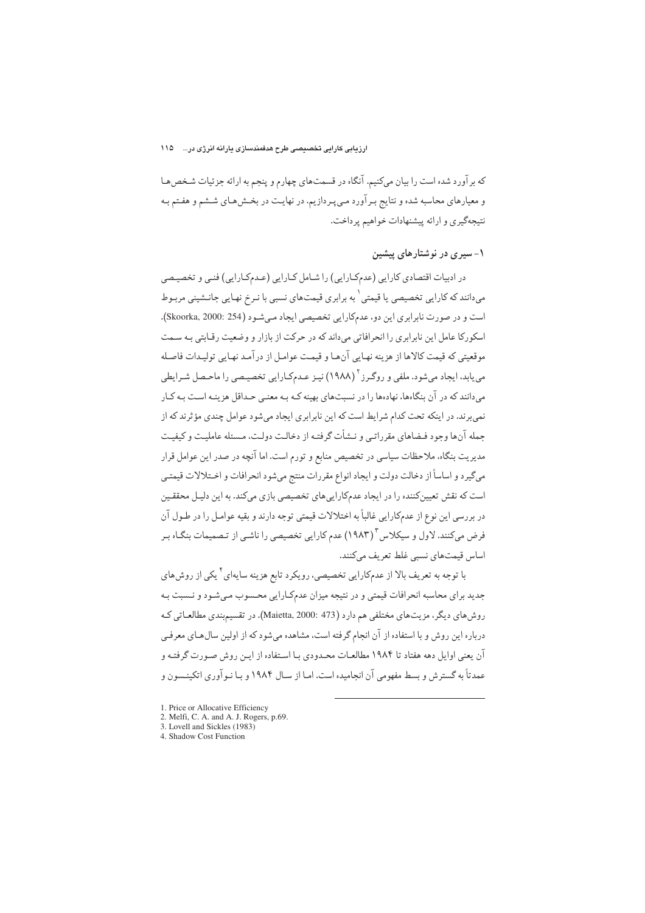كه بر آورد شده است را بيان مىكنيم. آنگاه در قسمتهاى چهارم و پنجم به ارائه جزئيات شـخص هـا و معیارهای محاسبه شده و نتایج بر آورد میپردازیم. در نهایت در بخشهای ششم و هفتم بـه نتيجهگيري و ارائه پيشنهادات خواهيم پرداخت.

## ۱- سیری در نوشتارهای پیشین

در ادبیات اقتصادی کارایی (عدمکارایی) را شـامل کـارایی (عـدمکـارایی) فنـی و تخصیـصی <sub>می</sub>دانند که کارایی تخصیصی یا قیمتی<sup>٬</sup> به برابری قیمتهای نسبی با نـرخ نهـایی جانـشینی مربـوط است و در صورت نابرابري اين دو، عدمكارايي تخصيصي ايجاد مي شـود (Skoorka, 2000: 254). اسکورکا عامل این نابرابری را انحرافاتی می داند که در حرکت از بازار و وضعیت رقـابتی بـه سـمت موقعیتی که قیمت کالاها از هزینه نهایی آنهـا و قیمـت عوامـل از درآمـد نهـایی تولیـدات فاصـله م<sub>، ی</sub>ابد، ایجاد می،شود. ملفی و روگـرز <sup>۲</sup> (۱۹۸۸) نیـز عـدمکـارایی تخصیـصی را ماحـصل شـرایطی می دانند که در آن بنگاهها، نهادهها را در نسبتهای بهینه کـه بـه معنـی حـداقل هزینـه اسـت بـه کـار نمی برند. در اینکه تحت کدام شرایط است که این نابرابری ایجاد میشود عوامل چندی مؤثرند که از جمله آنها وجود فيضاهاي مقرراتبي و نــشأت گرفتــه از دخالـت دولـت، مـسئله عامليـت و كيفيـت مدیریت بنگاه، ملاحظات سیاسی در تخصیص منابع و تورم است. اما آنچه در صدر این عوامل قرار مىگيرد و اساساً از دخالت دولت و ايجاد انواع مقررات منتج مىشود انحرافات و اخـتلالات قيمتـى است که نقش تعیینکننده را در ایجاد عدمکاراییهای تخصیصی بازی میکند. به این دلیل محققین در بررسي اين نوع از عدمكارايي غالباً به اختلالات قيمتي توجه دارند و بقيه عوامـل را در طـول آن فرض میکنند. لاول و سیکلاس ۱۹۸۳) عدم کارایی تخصیصی را ناشـی از تـصمیمات بنگـاه بـر اساس قيمتهاي نسبي غلط تعريف مي كنند.

با توجه به تعریف بالا از عدمکارایی تخصیصی، رویکرد تابع هزینه سایهای کمی از روش های جدید برای محاسبه انحرافات قیمتی و در نتیجه میزان عدمکارایی محـسوب مـیشـود و نـسبت بـه روشهای دیگر، مزیتهای مختلفی هم دارد (Maietta, 2000: 473). در تقسیم بندی مطالعـاتی کـه درباره این روش و یا استفاده از آن انجام گرفته است، مشاهده می شود که از اولین سال هیای معرفی آن يعني اوايل دهه هفتاد تا ١٩٨۴ مطالعـات محـدودي بـا اسـتفاده از ايـن روش صـورت گرفتـه و عمدتاً به گسترش و بسط مفهومی آن انجامیده است. امـا از سـال ۱۹۸۴ و بـا نـو آوری اتکینـسون و

- 1. Price or Allocative Efficiency
- 2. Melfi, C. A. and A. J. Rogers, p.69.
- 3. Lovell and Sickles (1983)
- 4. Shadow Cost Function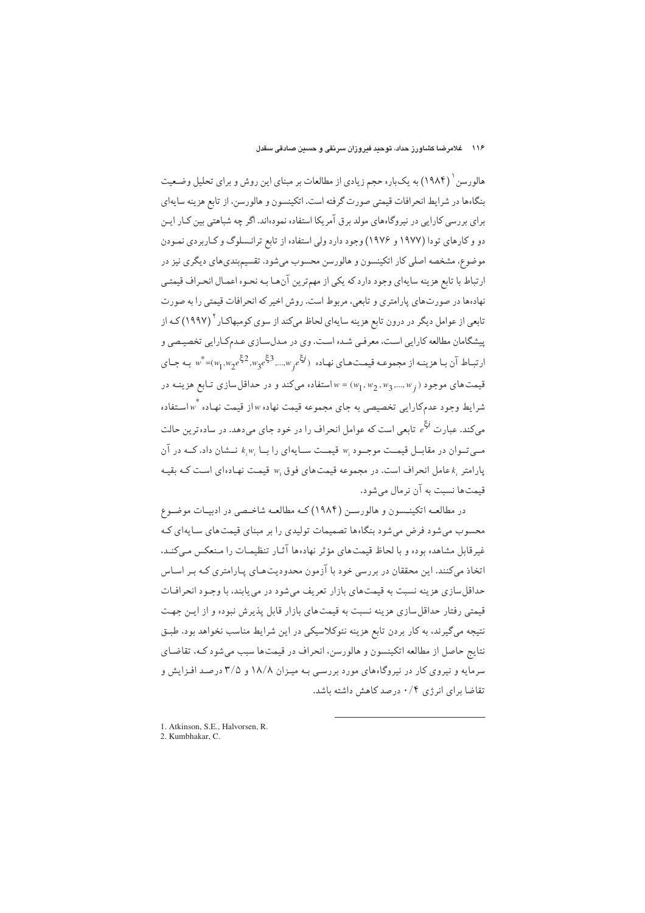هالورسن ( ۱۹۸۴) به یکباره حجم زیادی از مطالعات بر مبنای این روش و برای تحلیل وضعیت بنگاهها در شرايط انحرافات قيمتي صورت گرفته است. اتكينسون و هالورسن، از تابع هزينه سايهاي برای بررسی کارایی در نیروگاههای مولد برق آمریکا استفاده نمودهاند. اگر چه شباهتی بین کـار ایـن دو و کارهای تودا (۱۹۷۷ و ۱۹۷۶) وجود دارد ولی استفاده از تابع ترانسلوگ و کـاربردی نمـودن موضوع، مشخصه اصلي كار اتكينسون و هالورسن محسوب مي شود. تقسيم بندي هاي ديگري نيز در ارتباط با تابع هزينه سايهاي وجود دارد كه يكي از مهم ترين آنهـا بـه نحـوه اعمـال انحـراف قيمتـي نهادهها در صورتهاي پارامتري و تابعي، مربوط است. روش اخير كه انحرافات قيمتي را به صورت تابعی از عوامل دیگر در درون تابع هزینه سایهای لحاظ میکند از سوی کومبهاکـار <sup>۲</sup> (۱۹۹۷) کـه از پیشگامان مطالعه کارایی است، معرفبی شده است. وی در مدل سازی عـدمکـارایی تخصیـصی و ارتباط آن بـا هزینـه از مجموعـه قیمـتحـای نهـاده ( ن<sup>تخ</sup> به به بینـه تر $w_1, w_2$  =( $w_1, w_2$  = \*) او تب قیمت های موجود (  $w_1, w_2, w_3, ..., w_1$  استفاده می کند و در حداقل سازی تابع هزینـه در شرایط وجود عدم کارایی تخصیصی به جای مجموعه قیمت نهاده w از قیمت نهاده  $w$ استفاده  $\omega$ مه کند. عبار ت <sup>وق</sup>ح تابعی است که عوامل انحراف را در خود جای می دهد. در ساده ترین حالت مبے تبوان در مقابیل قیمت موجبود  $w_i$  قیمت سیایهای را بیا  $k, w_i$  نیشان داد. کیه در آن  $w_0$  بارامتی عامل انحراف است. در محموعه قیمت $\omega$ ای فوق  $w_0$  قیمت نهادهای است کـه یقیـه قیمتها نسبت به آن نرمال می شود.

در مطالعـه اتکینـسون و هالورسـن (۱۹۸۴) کـه مطالعـه شاخـصي در ادبيـات موضـوع محسوب می شود فرض می شود بنگاهها تصمیمات تولیدی را بر مبنای قیمت های سایهای که غیرقابل مشاهده بوده و با لحاظ قیمتهای مؤثر نهادهها آثیار تنظیمیات را منعکس مے کنید، اتخاذ میکنند. این محققان در بررسی خود با آزمون محدودیتهـای پـارامتری کـه بـر اسـاس حداقل سازي هزينه نسبت به قيمت هاي بازار تعريف مي شود در مي يابند، با وجـود انحرافـات قیمتی رفتار حداقل سازی هزینه نسبت به قیمتهای بازار قابل پذیرش نبوده و از ایـن جهت نتیجه میگیرند، به کار بردن تابع هزینه نئوکلاسیکی در این شرایط مناسب نخواهد بود. طبـق نتايج حاصل از مطالعه اتكينسون و هالورسن، انحراف در قيمتها سبب مي شود كـه، تقاضـاي سرمایه و نیروی کار در نیروگاههای مورد بررسی بـه میـزان ۱۸/۸ و ۳/۵ درصـد افـزایش و تقاضا برای انرژی ۰/۴ درصد کاهش داشته باشد.

1. Atkinson, S.E., Halvorsen, R. 2. Kumbhakar, C.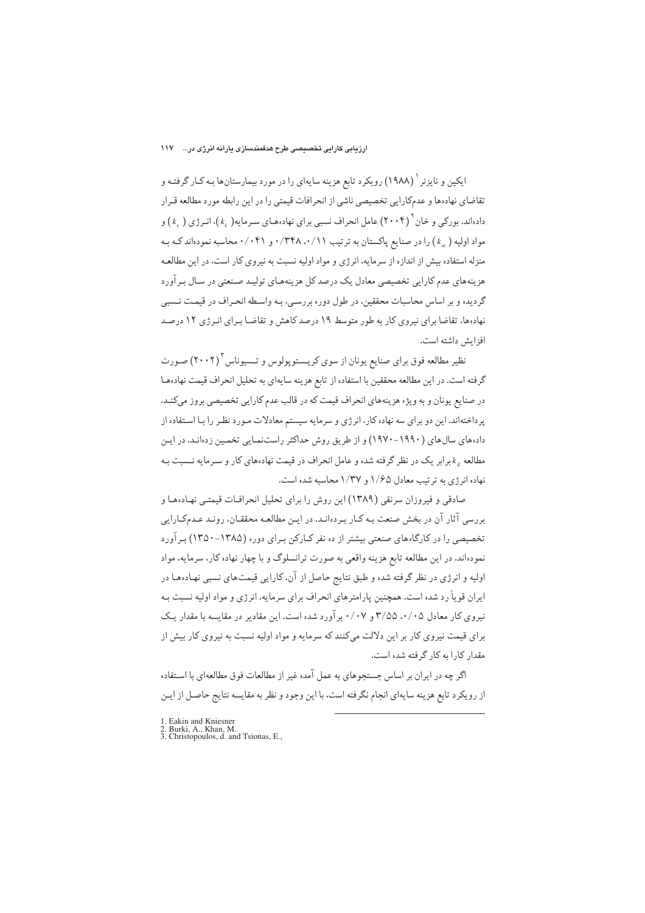ایکین و نایزنر <sup>۱</sup> (۱۹۸۸) رویکرد تابع هزینه سایهای را در مورد بیمارستانها بـه کـار گرفتـه و تقاضاي نهادهها و عدمكارايي تخصيصي ناشي از انحرافات قيمتي را در اين رابطه مورد مطالعه قـرار دادهاند. بورکی و خان ۲۰۰۴) عامل انحراف نسبی برای نهادههای سـرمایه(  $(k_{\perp})$ )، انـر ژی (  $(k_{\perp})$  و مواد اولیه ( « ) را در صنایع پاکستان به ترتیب ۰/۳۴۸ .۰/۱۱ و ۰/۰۴۱ محاسبه نمودهاند ک هبه منزله استفاده بیش از اندازه از سرمایه، انرژی و مواد اولیه نسبت به نیروی کار است. در این مطالعـه هزینههای عدم کارایی تخصیصی معادل یک درصد کل هزینههای تولید صنعتی در سال پیر آورد گردیده و بر اساس محاسبات محققین، در طول دوره بررسـی، بـه واسـطه انحـراف در قیمـت نـسبی نهادهها، تقاضا برای نیروی کار به طور متوسط ۱۹ درصد کاهش و تقاضـا بـرای انـرژی ۱۲ درصـد افزايش داشته است.

نظیر مطالعه فوق برای صنایع یونان از سوی کریـستوپولوس و تـسیوناس ۲۰۰۲) صـورت گرفته است. در این مطالعه محققین با استفاده از تابع هزینه سایهای به تحلیل انحراف قیمت نهادهها در صنایع پونان و به ویژه هزینههای انحراف قیمت که در قالب عدم کارایی تخصیصی بروز میکند، پرداختهاند. این دو برای سه نهاده کار، انرژی و سرمایه سیستم معادلات مـورد نظـر را بـا اسـتفاده از دادههای سالهای (۱۹۹۰–۱۹۷۰) و از طریق روش حداکثر راستنمایی تخمین زدهانـد. در ایـن مطالعه ۴<sub>۴</sub> برابر یک در نظر گرفته شده و عامل انحراف در قیمت نهادههای کار و سـرمایه نـسبت بـه نهاده انرژی به ترتیب معادل ۱/۶۵ و ۱/۳۷ محاسبه شده است.

صادقی و فیروزان سرنقی (۱۳۸۹) این روش را برای تحلیل انحرافـات قیمتـی نهـادههـا و بررسی آثار آن در بخش صنعت بـه کـار بـردهانـد. در ايـن مطالعـه محققـان، رونـد عـدمکـارايي تخصیصی را در کارگاههای صنعتی بیشتر از ده نفر کـارکن بـرای دوره (۱۳۸۵-۱۳۵۰) بـرآورد نمودهاند. در این مطالعه تابع هزینه واقعی به صورت ترانسلوگ و با چهار نهاده کار، سرمایه، مواد اولیه و انرژی در نظر گرفته شده و طبق نتایج حاصل از آن، کارایی قیمتهای نسبی نهـادههـا در ایران قویاً رد شده است. همچنین پارامترهای انحراف برای سرمایه، انرژی و مواد اولیه نسبت بـه نیروی کار معادل ۰/۰۵ ۲/۵۵ و ۰/۰۷ برآورد شده است. این مقادیر در مقایسه با مقدار یک برای قیمت نیروی کار بر این دلالت میکنند که سرمایه و مواد اولیه نسبت به نیروی کار بیش از مقدار کارا به کار گرفته شده است.

اگر چه در ایران بر اساس جستجوهای به عمل آمده غیر از مطالعات فوق مطالعهای با استفاده از رويكرد تابع هزينه سايهاي انجام نگرفته است، با اين وجود و نظر به مقايسه نتايج حاصـل از ايـن

<sup>1.</sup> Eakin and Kniesner<br>2. Burki, A., Khan, M.<br>3. Christopoulos, d. and Tsionas, E.,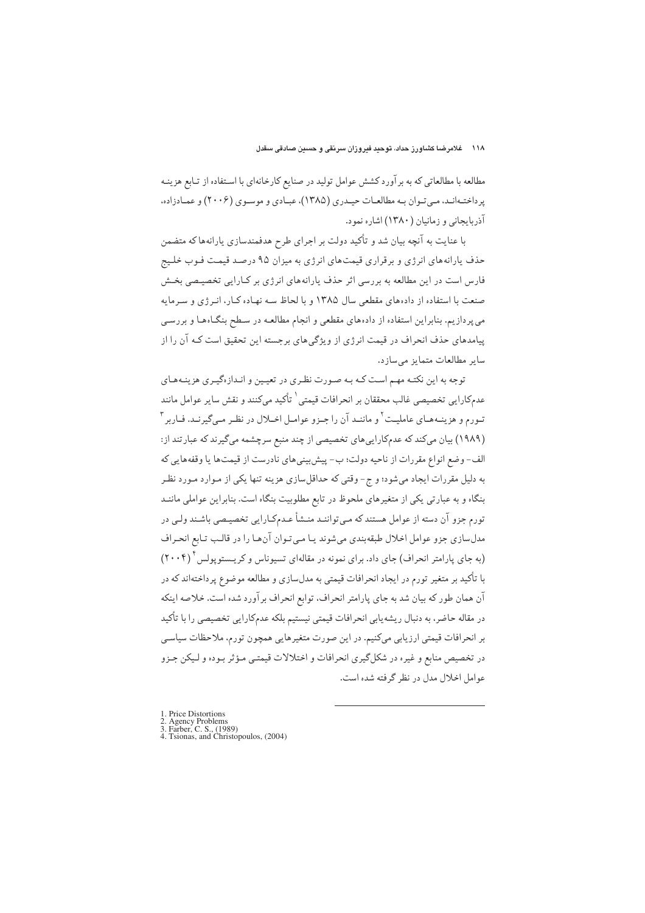مطالعه با مطالعاتی که به برآورد کشش عوامل تولید در صنایع کارخانهای با استفاده از تـابع هزینـه پرداختـهانـد، مـی تـوان بـه مطالعـات حیـدری (۱۳۸۵)، عبـادی و موسـوی (۲۰۰۶) و عمـادزاده، آذربایجانی و زمانیان ( ۱۳۸۰) اشاره نمود.

با عنایت به آنچه بیان شد و تأکید دولت بر اجرای طرح هدفمندسازی یارانهها که متضمن حذف پارانههای انرژی و برقراری قیمتهای انرژی به میزان ۹۵ درصد قیمت فـوب خلـیج فارس است در این مطالعه به بررسی اثر حذف پارانههای انرژی بر کـارایی تخصیـصی بخـش صنعت با استفاده از دادههای مقطعی سال ۱۳۸۵ و با لحاظ سـه نهـاده کـار، انـرژی و سـرمايه می پردازیم. بنابراین استفاده از دادههای مقطعی و انجام مطالعـه در سـطح بنگـاههـا و بررسـی پیامدهای حذف انحراف در قیمت انرژی از ویژگی های برجسته این تحقیق است کـه آن را از سایر مطالعات متمایز می سازد.

توجه به این نکتـه مهـم اسـت کـه بـه صـورت نظـري در تعيـين و انـدازهگيـري هزينـههـاي عدمكارايي تخصيصي غالب محققان بر انحرافات قيمتي` تأكيد ميكنند و نقش ساير عوامل مانند تـورم و هزینـههـای عاملیـت ٔ و ماننـد آن را جـزو عوامـل اخـلال در نظـر مـیگیرنـد. فـاربر ٔ (۱۹۸۹) بیان میکند که عدمکاراییهای تخصیصی از چند منبع سرچشمه میگیرند که عبارتند از: الف- وضع انواع مقررات از ناحیه دولت؛ ب- پیش بینی های نادرست از قیمتها یا وقفههایی که به دلیل مقررات ایجاد میشود؛ و ج- وقتی که حداقلسازی هزینه تنها یکی از مـوارد مـورد نظـر بنگاه و به عبارتی یکی از متغیرهای ملحوظ در تابع مطلوبیت بنگاه است. بنابراین عواملی ماننـد تورم جزو آن دسته از عوامل هستند که مـي تواننـد منـشأ عـدمکـارايي تخصيـصي باشـند ولـي در مدلسازي جزو عوامل اخلال طبقهبندي مى شوند يـا مـى تـوان آن هـا را در قالـب تـابع انحـراف (به جای پارامتر انحراف) جای داد. برای نمونه در مقالهای تسیوناس و کریستوپولس ۲۰۰۴) با تأکید بر متغیر تورم در ایجاد انحرافات قیمتی به مدلسازی و مطالعه موضوع پرداختهاند که در آن همان طور كه بيان شد به جاي پارامتر انحراف، توابع انحراف برآورد شده است. خلاصه اينكه در مقاله حاضر، به دنبال ریشه یابی انحرافات قیمتی نیستیم بلکه عدمکارایی تخصیصی را با تأکید بر انحرافات قیمتی ارزیابی میکنیم. در این صورت متغیرهایی همچون تورم، ملاحظات سیاسی در تخصیص منابع و غیره در شکلگیری انحرافات و اختلالات قیمتبی مؤثر بـوده و لـیکن جـزو عوامل اخلال مدل در نظر گرفته شده است.

1 Price Distortions

1. Fuce Dissourcement<br>
2. Agency Problems<br>
3. Farber, C. S., (1989)<br>
4. Tsionas, and Christopoulos, (2004)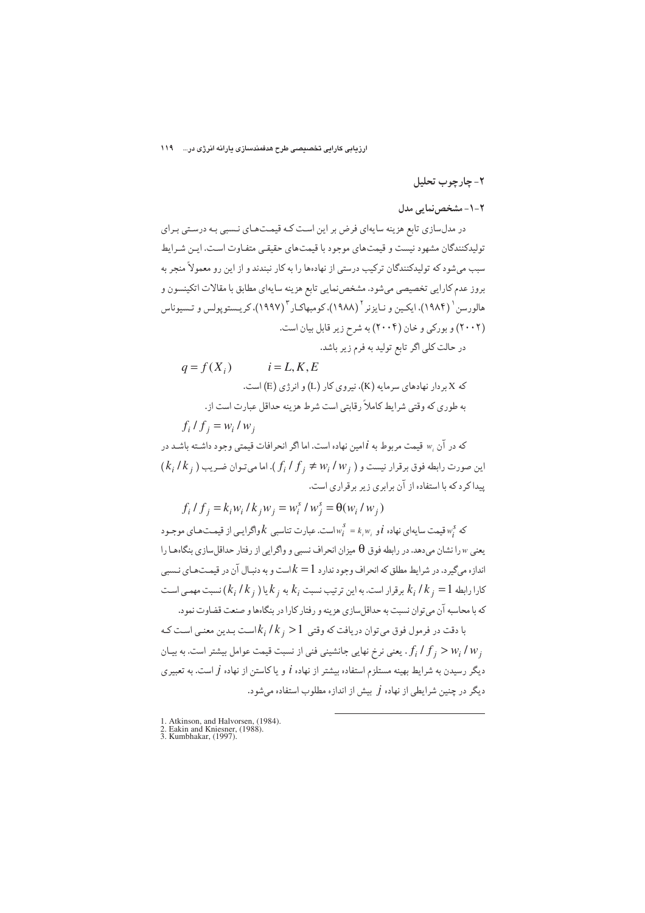ارزیابی کارایی تخصیصی طرح هدفمندسازی یارانه انرژی در... ۱۱۹

#### ٢- چارچوب تحليل

که

## ۲-۱- مشخص نمایی مدل

در مدلسازی تابع هزینه سایهای فرض بر این است کـه قیمـتهـای نـسبی بـه درسـتی بـرای تولیدکنندگان مشهود نیست و قیمتهای موجود با قیمتهای حقیقبی متفاوت است. ایـن شـرایط سبب میشود که تولیدکنندگان ترکیب درستی از نهادهها را به کار نبندند و از این رو معمولاً منجر به بروز عدم كارايي تخصيصي ميشود. مشخصنمايي تابع هزينه سايهاي مطابق با مقالات اتكينسون و هالو, سن ( ۱۹۸۴)، ایکین و نـایزنر <sup>۲</sup> (۱۹۸۸)، کومبهاکـار ۱۹۹۷)، کریـستوپولس و تـسیوناس (۲۰۰۲) و بورکی و خان (۲۰۰۴) به شرح زیر قابل بیان است.

در حالت کلی اگر تابع تولید به فرم زیر باشد.

$$
q = f(X_i) \qquad i = L, K, E
$$
که ہردار نهادهای سرمایه (K).  
که X بردار نهادهای سرمایه (K). نیروی کار (L) و انرژی (E) است.  
به طوری که وقتی شرایط کاملاً رقابتی است شرط هزینه حداقل عبارت است از.

$$
f_i / f_j = w_i / w
$$

که در آن ,w قیمت مربوط به jlمین نهاده است. اما اگر انحرافات قیمتی وجود داشته باشـد در  $(k_i/k_i)$ این صورت رابطه فوق برقرار نیست و  $\big(f_i/f_j\neq w_i/w_j\big)$ ). اما میتوان ضریب پیدا کرد که با استفاده از آن برابری زیر برقراری است.

$$
f_i / f_j = k_i w_i / k_j w_j = w_i^s / w_j^s = \Theta(w_i / w_j)
$$

که  $v_i^S$  قیمت سایهای نهاده  $i$  و $i$  ,  $w_i^S = k_i$ است. عبارت تناسبی  $k$ واگرایـی از قیمـتهـای موجـود یعنی « را نشان می دهد. در رابطه فوق  $\theta$  میزان انحراف نسبی و واگرایی از رفتار حداقل سازی بنگاههـا را اندازه میگیرد. در شرایط مطلق که انحراف وجود ندارد  $k=1$ است و به دنبـال آن در قیمـتهـای نـسبی  $k_i$  کارا رابطه 1 $k_i = k_i$  برقرار است. به این ترتیب نسبت  $k_i$  به  $k_i$ یا ( $k_i / k$ ) نسبت مهمـی اسـت که با محاسبه آن می توان نسبت به حداقل سازی هزینه و رفتار کارا در بنگاهها و صنعت قضاوت نمود.

با دقت در فرمول فوق میتوان دریافت که وقتی  $k_i$  /  $k_i/k_j$ اسـت بـدین معنـی اسـت کـه یعنی نرخ نهایی جانشینی فنی از نسبت قیمت عوامل بیشتر است. به بیـان  $f_i / f_j > w_i / w_j$ دیگر رسیدن به شرایط بهینه مستلزم استفاده بیشتر از نهاده  $i$  و یا کاستن از نهاده  $j$  است. به تعبیری دیگر در چنین شرایطی از نهاده j بیش از اندازه مطلوب استفاده میشود.

1. Atkinson, and Halvorsen, (1984).<br>2. Eakin and Kniesner, (1988).<br>3. Kumbhakar, (1997).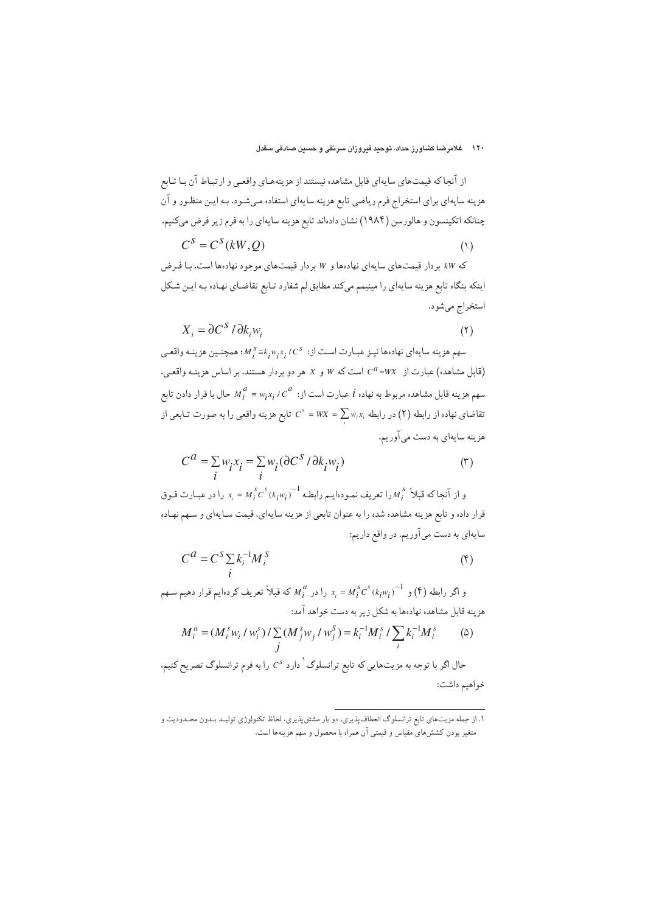اینکه بنگاه تابع هزینه سایهای را مینیمم میکند مطابق لم شفارد تـابع تقاضـای نهـاده بـه ایـن شـکل استخراج مي شود.

$$
X_i = \partial C^S / \partial k_i w_i \tag{1}
$$

سهم هزينه سايهاي نهادهها نيـز عبـارت اسـت از:  $K,Y,Y,K^s \equiv k,w,x,C^s$ ؛ همچنـين هزينـه واقعـي (قابل مشاهده) عبارت از  $C^a = W$  است که  $W$  و X هر دو بردار هستند. بر اساس هزینـه واقعـی، سهم هزینه قابل مشاهده مربوط به نهاده  $i$  عبارت است از:  $\kappa_i^{\;a}$   $\epsilon^{\;a}$  حال با قرار دادن تابع تقاضای نهاده از رابطه (۲) در رابطه  $\sum w_i x_i = \sum w_i$  تابع هزینه واقعی را به صورت تـابعی از هزینه سایهای به دست میآوریم.

$$
C^a = \sum_i w_i x_i = \sum_i w_i (\partial C^s / \partial k_i w_i)
$$
 (†)

و از آنجاکه قبلاً  $M_i^{\,s}$ را تعریف نمـودهایـم رابطـه  ${N_i^{\,s}C^s(k_iw_i)}^{-1}$  را در عبـارت فـوق قرار داده و تابع هزینه مشاهده شده را به عنوان تابعی از هزینه سایهای، قیمت سـایهای و سـهم نهـاده سایهای به دست میآوریم. در واقع داریم:

$$
C^{a} = C^{S} \sum_{i} k_{i}^{-1} M_{i}^{S}
$$
 (†)

و اگر رابطه (۴) و  $\frac{1}{\lambda_{i}}\in M_{i}^{S}$   $\subset N_{i}^{B}$  که قبلاً تعریف کردهایم قرار دهیم سـهم هزینه قابل مشاهده نهادهها به شکل زیر به دست خواهد آمد:

$$
M_i^a = (M_i^s w_i / w_i^s) / \sum_j (M_j^s w_j / w_j^s) = k_i^{-1} M_i^s / \sum_i k_i^{-1} M_i^s \tag{2}
$$

حال اگر با توجه به مزیتهایی که تابع ترانسلوگ<sup>\</sup> دارد <sup>0.</sup>8 را به فرم ترانسلوگ تصریح کنیم. خواهيم داشت:

۱. از جمله مزیتهای تابع ترانسلوگ انعطاف پذیری، دو بار مشتق پذیری، لحاظ تکنولوژی تولیـد بـدون محـدودیت و متغیر بودن کشش های مقیاس و قیمتی آن همراه با محصول و سهم هزینهها است.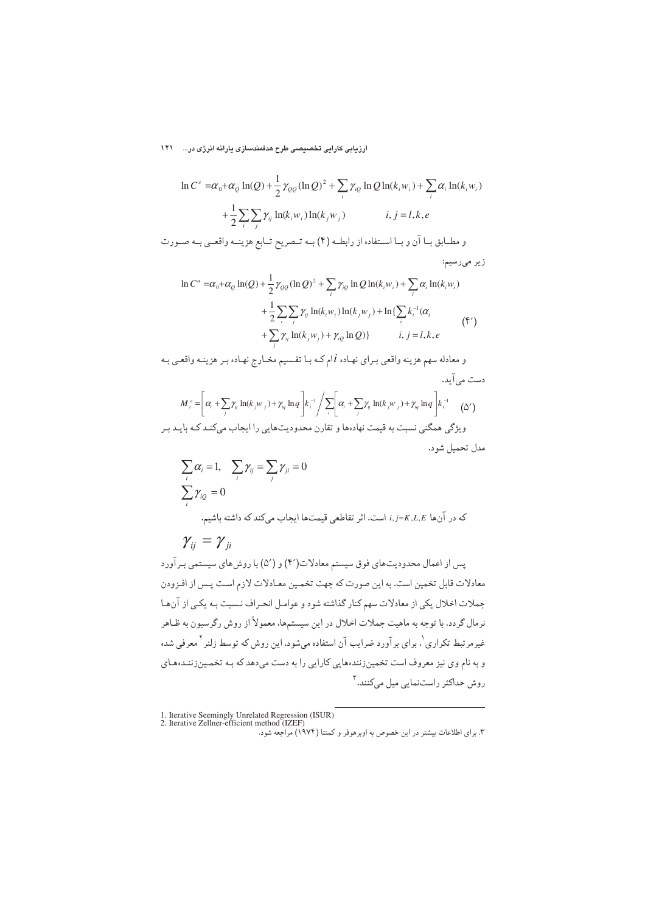ارزیابی کارایی تخصیصی طرح هدفمندسازی یارانه انرژی در... ۱۲۱

$$
\ln C^s = \alpha_0 + \alpha_0 \ln(Q) + \frac{1}{2} \gamma_{QQ} (\ln Q)^2 + \sum_i \gamma_{iQ} \ln Q \ln(k_i w_i) + \sum_i \alpha_i \ln(k_i w_i)
$$

$$
+ \frac{1}{2} \sum_i \sum_j \gamma_{ij} \ln(k_i w_i) \ln(k_j w_j) \qquad i, j = l, k, e
$$
  

$$
\epsilon_0 \Delta t = \sum_i \sum_j \gamma_{ij} \ln(k_i w_i) \ln(k_j w_j)
$$

$$
\ln C^{a} = \alpha_{0} + \alpha_{Q} \ln(Q) + \frac{1}{2} \gamma_{QQ} (\ln Q)^{2} + \sum_{i} \gamma_{iQ} \ln Q \ln(k_{i}w_{i}) + \sum_{i} \alpha_{i} \ln(k_{i}w_{i})
$$
  
+ 
$$
\frac{1}{2} \sum_{i} \sum_{j} \gamma_{ij} \ln(k_{i}w_{i}) \ln(k_{j}w_{j}) + \ln\{\sum_{i} k_{i}^{-1}(\alpha_{i}) + \sum_{j} \gamma_{ij} \ln(k_{j}w_{j}) + \gamma_{iQ} \ln Q)\}
$$
 *i, j = l, k, e* (5)

و معادله سهم هزينه واقعي بـراي نهـاده liم كـه بـا تقـسيم مخـارج نهـاده بـر هزينـه واقعـي بـه دست می آید.

$$
M_i^a = \left[\alpha_i + \sum_j \gamma_{ij} \ln(k_j w_j) + \gamma_{iq} \ln q \right] k_i^{-1} / \sum_i \left[\alpha_i + \sum_j \gamma_{ij} \ln(k_j w_j) + \gamma_{iq} \ln q \right] k_i^{-1}
$$
 (2')

ویژگی همگنی نسبت به قیمت نهادهها و تقارن محدودیتهایی را ایجاب میکنـد کـه بایـد بـر مدل تحميل شود.

$$
\sum_{i} \alpha_{i} = 1, \quad \sum_{i} \gamma_{ij} = \sum_{j} \gamma_{ji} = 0
$$
\n
$$
\sum_{i} \gamma_{iQ} = 0
$$
\n
$$
\gamma_{ij} = \gamma_{ji}
$$
\n
$$
i, j = K, L, E
$$
\n
$$
\gamma_{ij} = \gamma_{ji}
$$

پس از اعمال محدودیتهای فوق سیستم معادلات(۴) و (۵′) با روشهای سیستمی بـرآورد معادلات قابل تخمین است. به این صورت که جهت تخمـین معـادلات لازم اسـت پـس از افـزودن جملات اخلال یکی از معادلات سهم کنار گذاشته شود و عوامل انحـراف نـسبت بـه یکـی از آن.هـا نرمال گردد. با توجه به ماهیت جملات اخلال در این سیستمها، معمولاً از روش رگرسیون به ظـاهر غیرمرتبط تکراری <sup>۱</sup>، برای برآورد ضرایب آن استفاده میشود. این روش که توسط زلنر <sup>۲</sup> معرفی شده و به نام وی نیز معروف است تخمینزنندههایی کارایی را به دست میدهد که بـه تخمـینزننـدههـای روش حداکثر راستنمایی میل میکنند.<sup>۳</sup>

1. Iterative Seemingly Unrelated Regression (ISUR) 2. Iterative Zellner-efficient method (IZEF)

۳. برای اطلاعات بیشتر در این خصوص به اوبرهوفر و کمنتا (۱۹۷۴) مراجعه شود.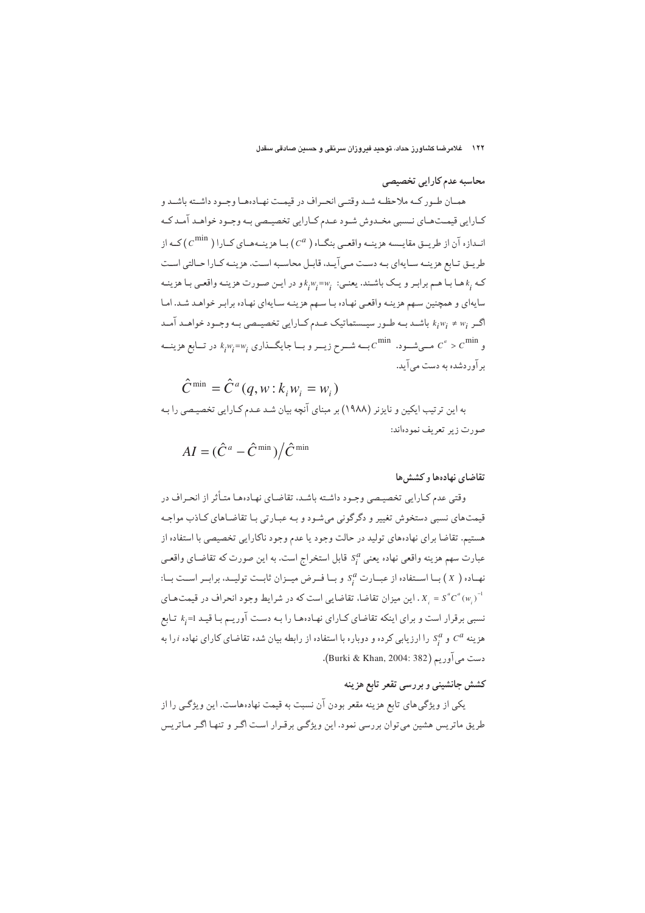۱۲۲ – غلامرضا کشاورز حداد، توحید فیروزان سرنقی و حسین صادقی سقدل

محاسبه عدم کارایی تخصیصی

همـان طـور كــه ملاحظــه شــد وقتــي انحــراف در قيمــت نهــادهمـا وجــود داشــته باشــد و کـارایی قیمـتهـای نــسبی مخـدوش شـود عـدم کـارایی تخصیـصی بـه وجـود خواهـد آمـد کـه انــدازه آن از طريــق مقايـــسه هزينــه واقعــي بنگــاه ( C<sup>a</sup>) بــا هزينــههــاي كــارا ( C<sup>min</sup>) كــه از طریــق تــابِع هزینــه ســایهای بــه دســت مــی آیــد، قابــل محاســبه اســت. هزینــه کــارا حــالتی اســت که  $k_i$ هـا بـا هـم برابـر و یـک باشـند. یعنـي:  $k_i^w_i$ =w, و در ایـن صـورت هزینـه واقعـي بـا هزینـه سایهای و همچنین سـهم هزینـه واقعـي نهـاده بـا سـهم هزینـه سـایهای نهـاده برابـر خواهـد شـد. امـا کر  $k_iw_i\neq w_i$  باشـد بــه طــور سيــستماتيک عــدم کــارايي تخصيــصي بــه وجــود خواهــد آمــد  $c^{a} > c^{\min}$ و  $c^{a} > c^{\min}$  مــیشــود.  $c^{\min}$ بــه شــرح زیــر و بــا جایگــذاری  $k_{i}^{w_{i} = w_{i}}$  در تــابع هزینــه بر آوردشده به دست می آید.

$$
\hat{C}^{\min} = \hat{C}^a(q, w : k_i w_i = w_i)
$$

به این ترتیب ایکین و نایزنر (۱۹۸۸) بر مبنای آنچه بیان شد عـدم کـارایی تخصیـصی را بـه صورت زير تعريف نمودهاند:

$$
AI = (\hat{C}^a - \hat{C}^{\min})/\hat{C}^{\min}
$$

## تقاضاي نهادهها و كششها

وقتی عدم کـارایی تخصیـصی وجـود داشـته باشـد، تقاضـای نهـادههـا متـأثر از انحـراف در قیمتهای نسبی دستخوش تغییر و دگرگونی میشود و بـه عبـارتی بـا تقاضـاهای كـاذب مواجـه هستیم. تقاضا برای نهادههای تولید در حالت وجود یا عدم وجود ناکارایی تخصیصی با استفاده از عبارت سهم هزينه واقعي نهاده يعني  $s_i^a$  قابل استخراج است. به اين صورت كه تقاضـاي واقعـي نهاده ( X ) با استفاده از عبارت S و با فـرض میـزان ثابـت تولیـد، برابـر اسـت بـا:  $= S^a C^a(w_i)^{-1}$ X, I و I میزان تقاضا، تقاضایی است که در شرایط وجود انحراف در قیمتهای S نسبی برقرار است و برای اینکه تقاضای کـارای نهـادهـا را بـه دسـت آوریـم بـا قیـد k<sub>i</sub>=1 تـابع هزینه <sup>4</sup>ی و <sup>8</sup>یر را ارزیابی کرده و دوباره با استفاده از رابطه بیان شده تقاضای کارای نهاده  $i$  را به دست میآوریم (Burki & Khan, 2004: 382).

### کشش جانشینی و بررسی تقعر تابع هزینه

یکی از ویژگیهای تابع هزینه مقعر بودن آن نسبت به قیمت نهادههاست. این ویژگـی را از طریق ماتریس هشین میتوان بررسی نمود. این ویژگـی برقـرار اسـت اگـر و تنهـا اگـر مـاتریس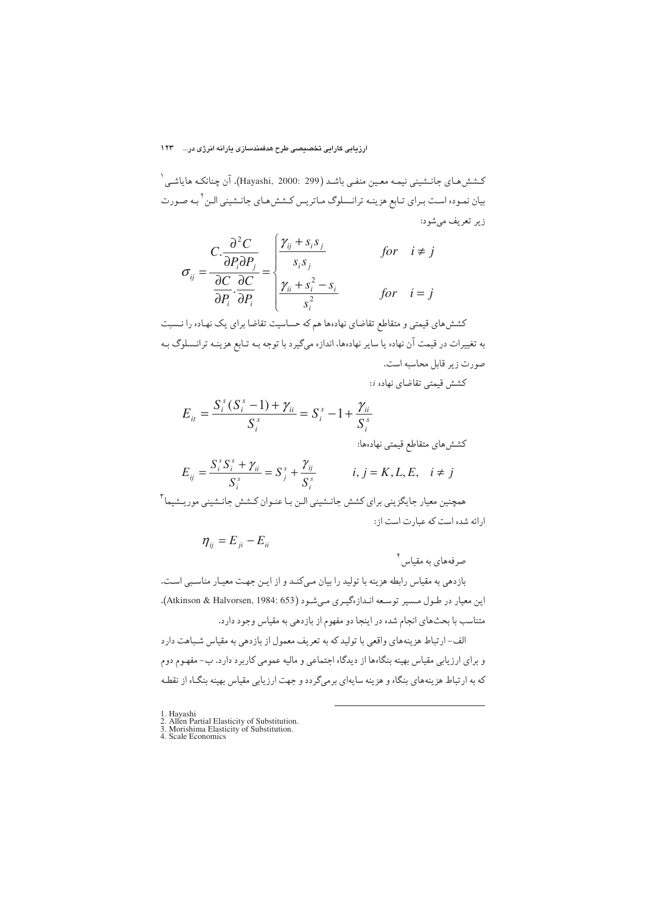#### ارزیابی کارایی تخصیصی طرح هدفمندسازی پارانه انرژی در... 1۲۳

كـشش(حاي جانـشيني نيمـه معـين منفـي باشـد (Hayashi, 2000: 299). آن چنانكـه هاياشـي ` بیان نمـوده اسـت بـراي تـابع هزينـه ترانـسلوگ مـاتريس كـشش،هـاي جانـشيني الـن <sup>٢</sup> بـه صـورت زير تعريف مي شود:

$$
\sigma_{ij} = \frac{C \cdot \frac{\partial^2 C}{\partial P_i \partial P_j}}{\frac{\partial C}{\partial P_i} \cdot \frac{\partial C}{\partial P_i}} = \begin{cases} \frac{\gamma_{ij} + s_i s_j}{s_i s_j} & \text{for} \quad i \neq j \\ \frac{\gamma_{ii} + s_i^2 - s_i}{s_i^2} & \text{for} \quad i = j \end{cases}
$$

کشش های قیمتی و متقاطع تقاضای نهادهها هم که حساسیت تقاضا برای یک نهاده را نـسبت به تغییرات در قیمت آن نهاده یا سایر نهادهها، اندازه میگیرد با توجه بـه تـابع هزینـه ترانـسلوگ بـه صورت زير قابل محاسبه است.

كشش قيمتى تقاضاي نهاده i:

$$
E_{it} = \frac{S_i^s (S_i^s - 1) + \gamma_{it}}{S_i^s} = S_i^s - 1 + \frac{\gamma_{it}}{S_i^s}
$$

كششءاي متقاطع قيمتي نهادهها:

$$
E_{ij} = \frac{S_i^s S_i^s + \gamma_{ii}}{S_i^s} = S_j^s + \frac{\gamma_{ij}}{S_i^s} \qquad i, j = K, L, E, \quad i \neq j
$$

همچنین معیار جایگزینی برای کشش جانـشینی الـن بـا عنـوان کـشش جانـشینی موریـشیما ٌ ارائه شده است كه عبارت است از:

$$
\eta_{ij}=E_{ji}-E_{ii}
$$

صرفههای به مقیاس ٔ

بازدهی به مقیاس رابطه هزینه با تولید را بیان میکند و از ایـن جهـت معیـار مناسـبی اسـت. این معیار در طول مسیر توسعه انـدازهگیـری مـیشـود (Atkinson & Halvorsen, 1984: 653). متناسب با بحثهاى انجام شده در اينجا دو مفهوم از بازدهى به مقياس وجود دارد.

الف-ارتباط هزینههای واقعی با تولید که به تعریف معمول از بازدهی به مقیاس شباهت دارد و برای ارزیابی مقیاس بهینه بنگاهها از دیدگاه اجتماعی و مالیه عمومی کاربرد دارد. ب-مفهوم دوم که به ارتباط هزینههای بنگاه و هزینه سایهای برمیگردد و جهت ارزیابی مقیاس بهینه بنگاه از نقطه

<sup>1.</sup> Hayashi

<sup>1.</sup> rays<br>
2. Allen Partial Elasticity of Substitution.<br>
3. Morishima Elasticity of Substitution.<br>
4. Scale Economics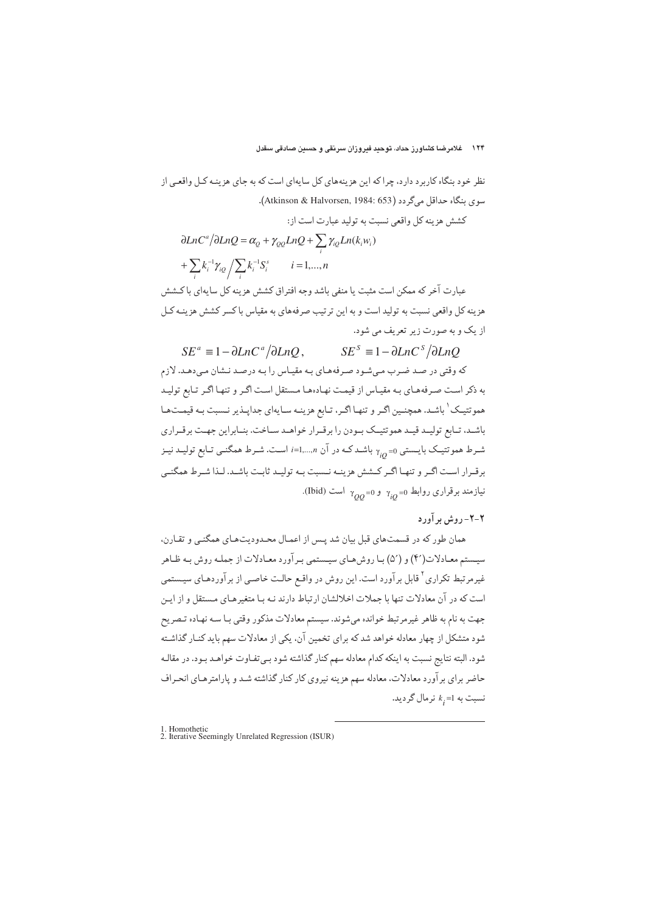نظر خود بنگاه کاربرد دارد، چراکه این هزینههای کل سایهای است که به جای هزینـه کـل واقعـی از سوي بنگاه حداقل ميگردد (Atkinson & Halvorsen, 1984: 653). كشش هزينه كل واقعي نسبت به توليد عبارت است از:  $+\sum k_i^{-1}\gamma_{iQ}\big/\sum k_i^{-1}S_i^s\qquad i=$  $\partial LnC^a/\partial LnQ = \alpha_Q + \gamma_{QQ}LnQ + \sum_{i} \gamma_{iQ}Ln(k_i w_i)$ *i*  $\sum_{i} k_i^{-1} \gamma_{iQ} / \sum_{i} k_i^{-1} S_i^{s}$  *i* = 1,..., *n i*  $i=1,...,n$ عبارت آخر که ممکن است مثبت یا منفی باشد وجه افتراق کشش هزینه کل سایهای با کـشش هزينه كل واقعي نسبت به توليد است و به اين ترتيب صرفههاي به مقياس باكسر كشش هزينـه كـل از یک و به صورت زیر تعریف می شود.

 $SE^a \equiv 1 - \partial LnC^a / \partial LnQ$ ,  $SE^s \equiv 1 - \partial LnC^s / \partial LnQ$ که وقتی در صـد ضـرب مـیشـود صـرفههـای بـه مقیـاس را بـه درصـد نـشان مـیدهـد. لازم به ذکر است صـرفههـاي بـه مقيـاس از قيمـت نهـادههـا مـستقل اسـت اگـر و تنهـا اگـر تـابع توليـد هموتتیک ٰ باشـد. همچنـین اگـر و تنهـا اگـر، تـابع هزینـه سـایهای جداپـذیر نـسبت بـه قیمـتحـا باشـد، تــابِع توليــد قيــد هموتتيــك بــودن را برقــرار خواهــد ســاخت. بنــابراين جهــت برقــراري شـرط هموتتیـک بایـستی <sub>q10</sub> باشـدکـه در آن i=1,...,n است. شـرط همگنـی تـابع تولیـد نیـز برقیرار است اگیر و تنهیا اگیر کیشش هزینیه نیست بیه تولیید ثابت باشید. لیذا شیرط همگنبی نیازمند برقراری روابط <sub>γ<sub>ίQ</sub>=0 و <sub>γ<sub>QQ</sub>=0 است (Ibid).</sub></sub>

## ۲-۲- روش بر آورد

همان طور که در قسمتهای قبل بیان شد پـس از اعمـال محـدودیتهـای همگنـی و تقـارن، سیـستم معـادلات(۴) و (۵′) بـا روش،هـای سیـستمی بـر آورد معـادلات از جملـه روش بـه ظـاهر غیرمرتبط تکراری<sup>۲</sup> قابل برآورد است. این روش در واقـع حالـت خاصـی از برآوردهـای سیـستمی است که در آن معادلات تنها با جملات اخلالشان ارتباط دارند نـه بـا متغيرهـاي مـستقل و از ايـن جهت به نام به ظاهر غیرمرتبط خوانده میشوند. سیستم معادلات مذکور وقتی بـا سـه نهـاده تـصریح شود متشکل از چهار معادله خواهد شد که برای تخمین آن، یکی از معادلات سهم باید کنـار گذاشـته شود. البته نتايج نسبت به اينكه كدام معادله سهم كنار گذاشته شود بـي تفـاوت خواهـد بـود. در مقالـه حاضر برای بر آورد معادلات، معادله سهم هزینه نیروی کار کنار گذاشته شـد و پارامترهـای انحـراف نسبت به 1= $k_{\widetilde l}$  نرمال گردید.

 $\overline{a}$ 

<sup>1.</sup> Homothetic 2. Iterative Seemingly Unrelated Regression (ISUR)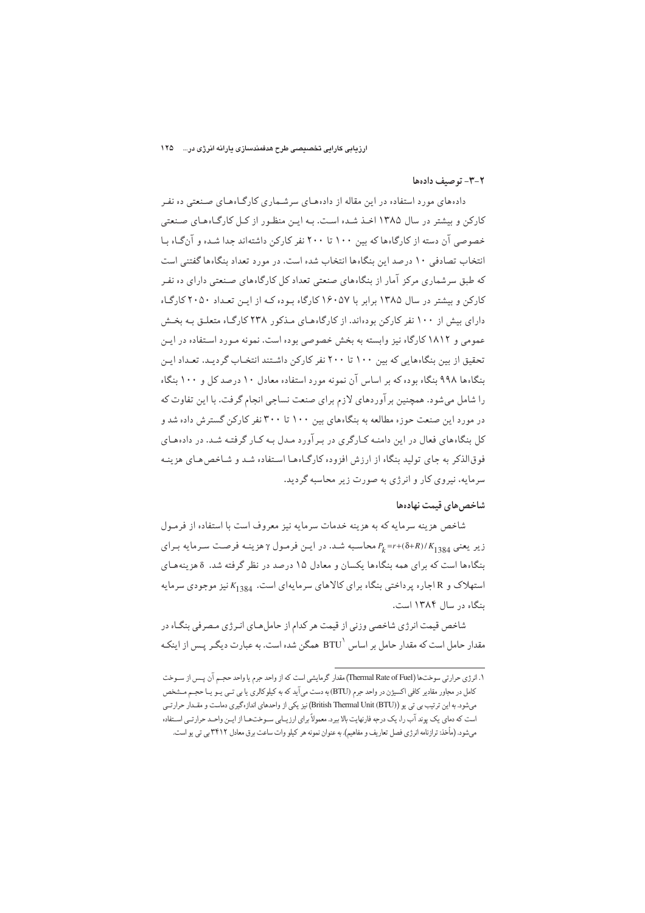#### ٢-٣- تو صيف دادهها

دادههای مورد استفاده در این مقاله از دادههای سرشـماری کارگـاههـای صـنعتی ده نفـر کارکن و بیشتر در سال ۱۳۸۵ اخیذ شیده است. به ایین منظور از کیل کارگاههای صنعتی خصوصی آن دسته از کارگاهها که بین ۱۰۰ تا ۲۰۰ نفر کارکن داشتهاند جدا شده و آنگاه با انتخاب تصادفی ۱۰ درصد این بنگاهها انتخاب شده است. در مورد تعداد بنگاهها گفتنی است که طبق سرشماری مرکز آمار از بنگاههای صنعتی تعداد کل کارگاههای صنعتی دارای ده نفر کارکن و بیشتر در سال ۱۳۸۵ برابر با ۱۶۰۵۷ کارگاه بوده کـه از ایـن تعـداد ۲۰۵۰ کارگـاه دارای بیش از ۱۰۰ نفر کارکن بودهاند. از کارگاههای مذکور ۲۳۸ کارگـاه متعلـق بـه بخـش عمومی و ۱۸۱۲ کارگاه نیز وابسته به بخش خصوصی بوده است. نمونه مـورد اسـتفاده در ایـن تحقیق از بین بنگاههایی که بین ۱۰۰ تا ۲۰۰ نفر کارکن داشتند انتخـاب گردیـد. تعـداد ایـن بنگاهها ۹۹۸ بنگاه بوده که بر اساس آن نمونه مورد استفاده معادل ۱۰ درصد کل و ۱۰۰ بنگاه را شامل میشود. همچنین بر آوردهای لازم برای صنعت نساجی انجام گرفت. با این تفاوت که در مورد این صنعت حوزه مطالعه به بنگاههای بین ۱۰۰ تا ۳۰۰ نفر کارکن گسترش داده شد و کل بنگاههای فعال در این دامنـه کـارگری در بـرآورد مـدل بـه کـار گرفتـه شـد. در دادههـای فوق الذکر به جای تولید بنگاه از ارزش افزوده کارگیاهها استفاده شد و شیخص هیای هزینیه سرمایه، نیروی کار و انرژی به صورت زیر محاسبه گردید.

#### شاخص های قیمت نهادهها

شاخص هزينه سرمايه كه به هزينه خدمات سرمايه نيز معروف است با استفاده از فرمـول زیر یعنی  $R_{1384} = P_k = r + (\delta + R) / K_{1384}$ محاسبه شد. در ایـن فرمـول ۲ هزینـه فرصـت سـرمایه بـرای بنگاهها است که برای همه بنگاهها یکسان و معادل ۱۵ درصد در نظر گرفته شد. 8هزینههای استهلاک و R اجاره پرداختی بنگاه برای کالاهای سرمایهای است. K<sub>1384</sub> نیز موجودی سرمایه ىنگاه در سال ۱۳۸۴ است.

شاخص قیمت انرژی شاخصی وزنی از قیمت هر کدام از حاملهای انـرژی مـصرفی بنگـاه در مقدار حامل است که مقدار حامل بر اساس `BTU همگن شده است. به عبارت دیگـر پـس از اینکـه

۱. انرژی حرارتی سوختها (Thermal Rate of Fuel) مقدار گرمایشی است که از واحد جرم یا واحد حجـم آن پــس از ســوخت کامل در مجاور مقادیر کافی اکسیژن در واحد جرم (BTU) به دست میآید که به کیلوکالری یا بی تـی یـو یـا حجـم مــشخص میشود. به این ترتیب بی تی یو (British Thermal Unit (BTU) نیز یکی از واحدهای اندازهگیری دماست و مقـدار حرارتـی است که دمای یک یوند آب را، یک درجه فارنهایت بالا بپرد. معمولاً برای ارزیـابی ســوختـهـا از ایــن واحــد حرارتــی اســتفاده می شود. (مأخذ: ترازنامه انرژی فصل تعاریف و مفاهیم). به عنوان نمونه هر کیلو وات ساعت برق معادل ۳۴۱۲ بی تی یو است.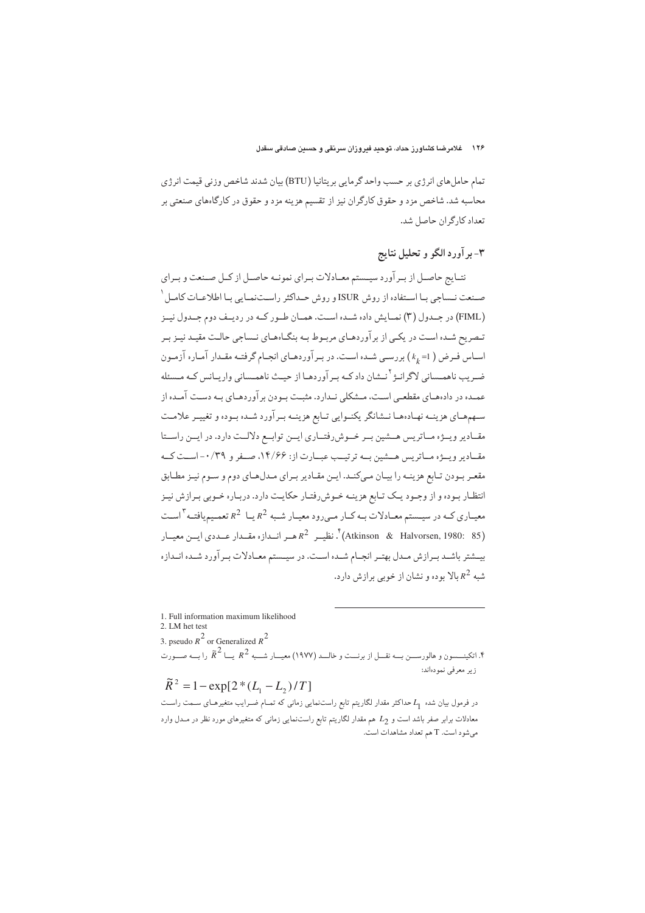تمام حامل هاي انرژي بر حسب واحد گرمايي بريتانيا (BTU) بيان شدند شاخص وزني قيمت انرژي محاسبه شد. شاخص مزد و حقوق کارگران نیز از تقسیم هزینه مزد و حقوق در کارگاههای صنعتی بر تعداد كارگران حاصل شد.

# ۳- بر آورد الگو و تحلیل نتایج

نتــايج حاصــل از بــر آورد سيــستم معــادلات بــراي نمونــه حاصــل از كــل صــنعت و بــراي صـنعت نــساجي بــا اســتفاده از روش ISUR و روش حــداكثر راســتنمـايي بـا اطلاعــات كامــل <sup>١</sup> (FIML) در جــدول (۳) نمــايش داده شــده اســت. همــان طــور كــه در رديــف دوم جــدول نيــز تـصريح شـده اسـت در يكـي از برآوردهـاي مربـوط بـه بنگـاههـاي نـساجي حالـت مقيـد نيـز بـر اسـاس فـرض ( k<sub>k</sub> =1 ) بررسـي شـده اسـت. در بـرآوردهـاي انجـام گرفتـه مقـدار آمـاره آزمـون ضـريب ناهمـساني لاگرانـژ<sup>٢</sup>نـشان دادكـه بـرآوردهـا از حيـث ناهمـساني واريـانس كـه مـسئله عمـده در دادههـاي مقطعـي اســت، مــشكلي نــدارد. مثبــت بــودن بر آوردهـاي بــه دســت آمــده از سـهمهـاي هزينــه نهـادههـا نــشانگر يكنــوايي تــابع هزينــه بــرآورد شــده بــوده و تغييــر علامــت مقــادير ويـــژه مــاتريس هـــشين بــر خـــوش٫رفتــاري ايـــن توابــع دلالــت دارد. در ايـــن راســـتا مقـادیر ویــژه مـاتریس هــشین بــه ترتیــب عبــارت از: ۱۴/۶۶، صــفر و ۰/۳۹- اســت کــه مقعـر بـودن تـابع هزينـه را بيـان مـيكنـد. ايـن مقـادير بـراي مـدلهـاي دوم و سـوم نيـز مطـابق انتظـار بـوده و از وجـود يـك تـابع هزينــه خــوش٫فتـار حكايـت دارد. دربـاره خــوبي بـرازش نيـز معیــاری کــه در سیــستم معــادلات بــه کــار مــی٫ود معیــار شــبه <sup>2</sup>R یــا <sup>2</sup>R تعمــیمیافتــه <sup>۳</sup>اســت (Atkinson & Halvorsen, 1980: 85)<sup>؟</sup>. نظیــر  $R^2$  هــر انــدازه مقــدار عــددی ایــن معیــار بیــشتر باشــد بــرازش مــدل بهتــر انجــام شــده اســت. در سیــستم معــادلات بــرآورد شــده انــدازه شبه <sup>2</sup>R بالا بوده و نشان از خوبی برازش دارد.

 $\overline{a}$ 1. Full information maximum likelihood 2. LM het test 3. pseudo  $R^2$  or Generalized  $R^2$ ۴. اتکینــــسون و هالورســـن بـــه نقـــل از برنـــت و خالـــد (۱۹۷۷) معیـــار شـــبه <sup>2</sup>R یـــا  $\widetilde{R}^2$  را بـــه صـــورت زير معرفي نمودهاند:  $\widetilde{R}^2 = 1 - \exp[2*(L_1 - L_2)/T]$  $\widetilde{R}^2 = 1 - \exp[2*(L_1 - L_2)/T]$ 

در فرمول بیان شده  $L_1$  حداکثر مقدار لگاریتم تابع راستنمایی زمانی که تمــام ضــرایب متغیرهــای ســمت راســت معادلات برابر صفر باشد است و  $L_2$  هم مقدار لگاریتم تابع راستنمایی زمانی که متغیرهای مورد نظر در مــدل وارد می شود است. T هم تعداد مشاهدات است.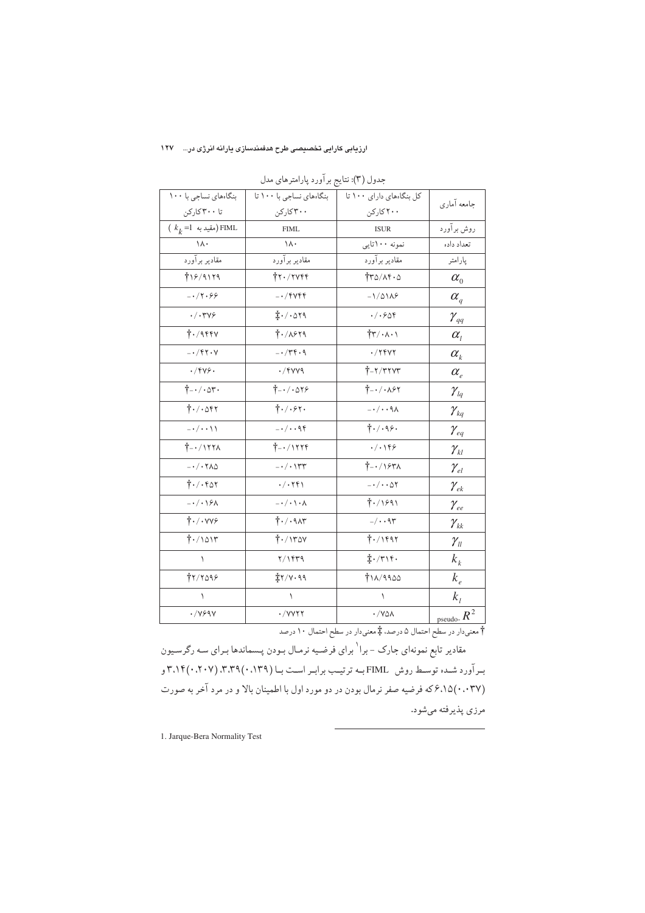#### ارزیابی کارایی تخصیصی طرح هدفمندسازی یارانه انرژی در... ۱۲۷

| بنگاههای نساجی با ۱۰۰                                  | بنگاههای نساجی با ۱۰۰ تا              |                                                              |                                   |
|--------------------------------------------------------|---------------------------------------|--------------------------------------------------------------|-----------------------------------|
|                                                        |                                       | کل بنگاههای دارای ۱۰۰ تا                                     | جامعه آماري                       |
| تا ۳۰۰کارکن                                            | ۳۰۰کارکن                              | ۲۰۰ کارکن                                                    |                                   |
| $(k_k = 1 \rightarrow)$ FIML                           | <b>FIML</b>                           | <b>ISUR</b>                                                  | روش برآورد                        |
| $\setminus \wedge \cdot$                               | $\setminus \wedge \cdot$              | نمونه ۱۰۰تایی                                                | تعداد داده                        |
| مقادير برآورد                                          | مقادير برآورد                         | مقادير برآورد                                                | پارامتر                           |
| 718/9179                                               | $\ddagger$ ۲۰/۲۷۴۴                    | $\frac{1}{4}r\Delta/\Lambda f\cdot\Delta$                    | $\alpha_{0}$                      |
| $-17.99$                                               | $-1$ $fYf$                            | $-1/\Delta$ $\Delta$                                         | $\alpha_{\scriptscriptstyle q}$   |
| $\cdot/\cdot$ ۳۷۶                                      | $\ddagger$ ./.019                     | . / .909                                                     | $\gamma_{\scriptscriptstyle{qq}}$ |
| $\dagger$ ./9444                                       | $\dagger$ ./ $\lambda$ ۶۲۹            | $\frac{1}{4} \mathbf{r} / \cdot \mathbf{A} \cdot \mathbf{A}$ | $\alpha_{i}$                      |
| $- \cdot / \mathfrak{f} \mathfrak{f} \cdot \mathsf{Y}$ | $-1/\tau f \cdot q$                   | $\cdot$ /۲۴۷۲                                                | $\alpha_{\scriptscriptstyle k}$   |
| .799.                                                  | $\cdot$ /۴۷۷۹                         | $T - Y/T+YT$                                                 | $\alpha_{\scriptscriptstyle e}$   |
| $\check{\mathsf{T}}$ - $/ \cdot \mathsf{or} \cdot$     | $+ -1.019$                            | $\dagger$ - $\cdot$ / $\cdot$ ۸۶۲                            | $\gamma_{\scriptscriptstyle lq}$  |
| $\dagger$ ./.047                                       | 4.7.94.                               | $-\cdot/\cdot\cdot$ 9 $\wedge$                               | $\gamma_{\rm kq}$                 |
| $-\cdot/\cdot\cdot$                                    | $-\cdot/\cdot\cdot$ 94                | $\dagger$ ./.98.                                             | $\gamma_{\rm eq}$                 |
| $\check{\mathsf{T}}$ -·/1٢٢٨                           | $+ - 11114$                           | $\cdot/\cdot$ ١۴۶                                            | $\gamma_{\scriptscriptstyle kl}$  |
| $- \cdot / \cdot \mathbf{Y} \wedge \Delta$             | $-\cdot/\cdot$ \rr                    | $\uparrow$ - / ۱۶۳۸                                          | $\gamma_{\rm el}$                 |
| $\dagger$ ./. $607$                                    | $\cdot/\cdot$                         | $-\cdot/\cdot\cdot\Delta$ ٢                                  | $\gamma_{\scriptscriptstyle ek}$  |
| $-\cdot/\cdot\right.$                                  | $-\cdot/\cdot\setminus\cdot$ $\wedge$ | $\frac{1}{1}$ ./1891                                         | $\gamma_{\rm ee}$                 |
| $\dagger \cdot / \cdot \text{v} \times$                | $\dagger$ ./. 915                     | $-$ / $\cdot$ $\uparrow$                                     | $\gamma_{\scriptscriptstyle kk}$  |
| 7.7011                                                 | $\uparrow$ ./1۳۵۷                     | 7.11997                                                      | $\gamma_{ll}$                     |
| ١                                                      | Y/YYY                                 | $\ddagger$ ·/٣١۴٠                                            | $k_{k}$                           |
| 77/7099                                                | $\ddagger$ ۲/۷.۹۹                     | TIA/9900                                                     | $k_e$                             |
| ١                                                      | $\lambda$                             | $\lambda$                                                    | $k_i$                             |
| $\cdot$ / $Y99Y$                                       | $\cdot$ / $\vee$                      | $\cdot$ /YQA                                                 | pseudo- $R^2$                     |

جدول (۳): نتایج برآورد پارامترهای مدل

† معنىدار در سطح احتمال ۵ درصد، ‡ معنىدار در سطح احتمال ۱۰ درصد

مقادیر تابع نمونهای جارک - برا<sup>۱</sup> برای فرضیه نرمال بـودن پـسماندها بـرای سـه رگرسـیون بـر آورد شـده توسـط روش FIML بــه ترتيـب برابـر اسـت بـا (١٣٩، ٣.٣٩(٠،٢٠٧) ٣.١٤ و (۶٬۱۵(۰٬۰۳۷ که فرضیه صفر نرمال بودن در دو مورد اول با اطمینان بالا و در مرد آخر به صورت مرزی پذیرفته میشود.

 $\overline{a}$ 

1. Jarque-Bera Normality Test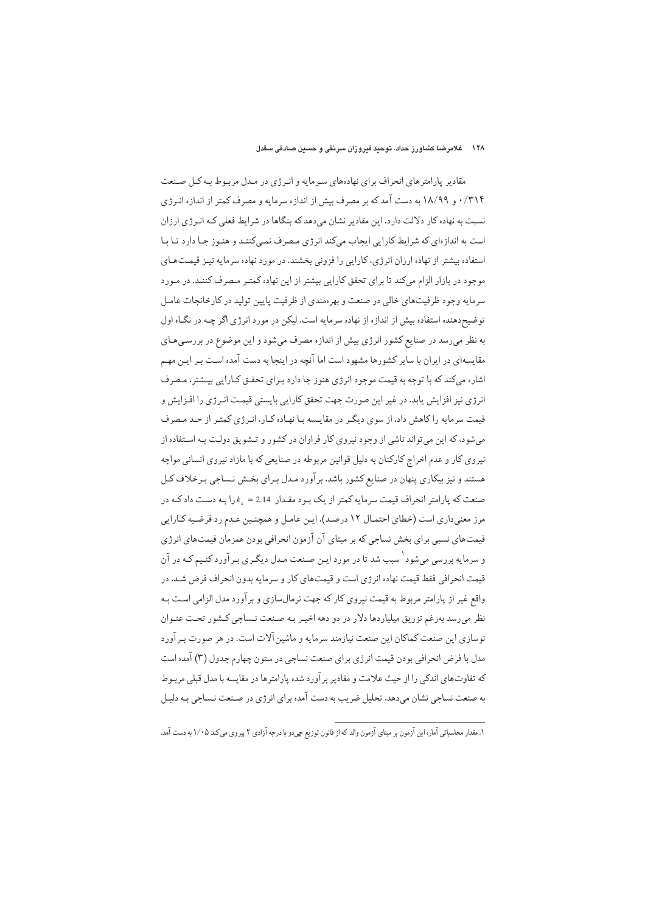#### ۱۲۸ خلامرضا کشاورز حداد، توحید فیروزان سرنقی و حسین صادقی سقدل

مقادیر پارامترهای انحراف برای نهادههای سرمایه و انرژی در مدل مربوط به کل صنعت ۰/۳۱۴ و ۱۸/۹۹ به دست آمد که بر مصرف بیش از اندازه سرمایه و مصرف کمتر از اندازه انـرژي نسبت به نهاده کار دلالت دارد. این مقادیر نشان می دهد که بنگاها در شرایط فعلی کـه انـرژی ارزان است به اندازهای که شرایط کارایی ایجاب میکند انرژی مصرف نمـیکننـد و هنـوز جـا دارد تـا بـا استفاده بیشتر از نهاده ارزان انرژی، کارایی را فزونی بخشند. در مورد نهاده سرمایه نیـز قیمـتهـای موجود در بازار الزام میکند تا برای تحقق کارایی بیشتر از این نهاده کمتـر مـصرف کننـد. در مـورد سرمایه وجود ظرفیتهای خالبی در صنعت و بهرهمندی از ظرفیت پایین تولید در کارخانجات عامـل توضیح دهنده استفاده بیش از اندازه از نهاده سرمایه است. لیکن در مورد انرژی اگر چـه در نگـاه اول به نظر میرسد در صنایع کشور انرژی بیش از اندازه مصرف میشود و این موضوع در بررسیهای مقایسهای در ایران با سایر کشورها مشهود است اما آنچه در اینجا به دست آمده است بـر ایـن مهـم اشاره میکند که با توجه به قیمت موجود انرژی هنوز جا دارد بـرای تحقـق کـارایی بیـشتر، مـصرف انرژی نیز افزایش پابد. در غیر این صورت جهت تحقق کارایی بایستی قیمت انـرژی را افـزایش و قیمت سرمایه را کاهش داد. از سوی دیگر در مقایسه با نهاده کار، انـرژی کمتـر از حـد مـصرف میشود، که این میتواند ناشی از وجود نیروی کار فراوان در کشور و تـشویق دولت بـه استفاده از نیروی کار و عدم اخراج کارکنان به دلیل قوانین مربوطه در صنایعی که با مازاد نیروی انسانی مواجه هستند و نیز بیکاری پنهان در صنایع کشور باشد. برآورد مـدل بـرای بخـش نـساجی بـرخلاف کـل صنعت که پارامتر انحراف قیمت سرمایه کمتر از یک بـود مقـدار 2.14 =  $k_{_k}$ را بـه دسـت داد کـه در مرز معنیداری است (خطای احتمال ۱۲ درصد). این عامل و همچنین عـدم رد فرضـیه کـارایی قیمتهای نسبی برای بخش نساجی که بر مبنای آن آزمون انحرافی بودن همزمان قیمتهای انرژی و سرمایه بررسی میشود <sup>۱</sup> سبب شد تا در مورد ایـن صـنعت مـدل دیگـری بـر آورد کنـیم کـه در آن قیمت انحرافی فقط قیمت نهاده انرژی است و قیمتهای کار و سرمایه بدون انحراف فرض شـد. در واقع غیر از پارامتر مربوط به قیمت نیروی کار که جهت نرمالسازی و برآورد مدل الزامی است بـه نظر میرسد بهرغم تزریق میلیاردها دلار در دو دهه اخیـر بـه صـنعت نـساجي كـشور تحـت عنـوان نوسازی این صنعت کماکان این صنعت نیازمند سرمایه و ماشین آلات است. در هر صورت بـر آورد مدل با فرض انحرافی بودن قیمت انرژی برای صنعت نساجی در ستون چهارم جدول (۳) آمده است که تفاوتهای اندکی را از حیث علامت و مقادیر برآورد شده پارامترها در مقایسه با مدل قبلی مربـوط به صنعت نساجی نشان می،دهد. تحلیل ضریب به دست آمده برای انرژی در صـنعت نـساجی بـه دلیـل

١. مقدار محاسباتي آماره اين آزمون بر مبناي آزمون والد كه از قانون توزيع جي دو با درجه آزادي ٢ پيروي مي كند ١/٠٥ به دست آمد.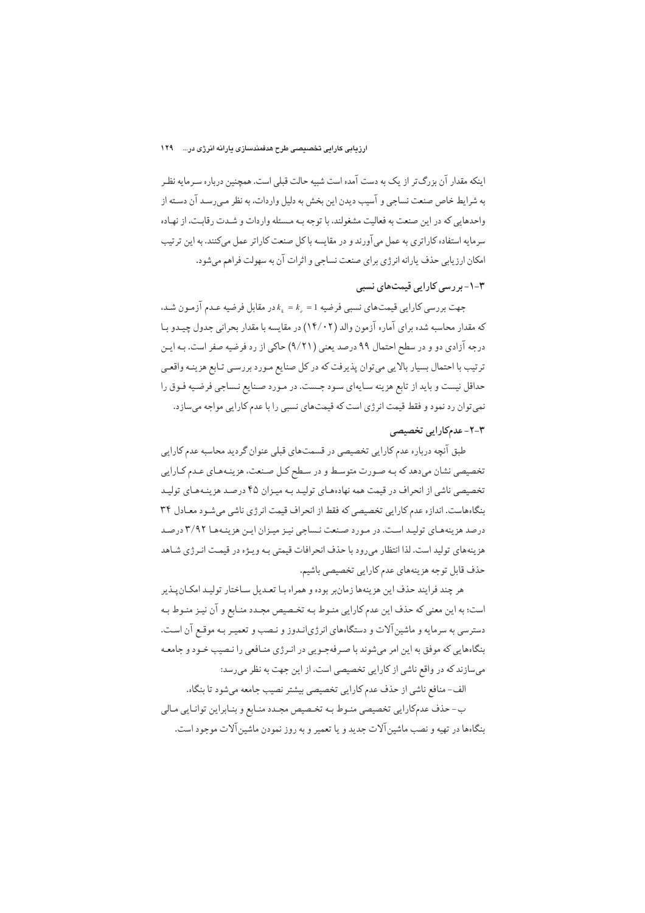#### ارزیابی کارایی تخصیصی طرح هدفمندسازی پارانه انرژی در... ۱۲۹

اینکه مقدار آن بزرگ تر از یک به دست آمده است شبیه حالت قبلی است. همچنین درباره سـرمایه نظـر به شرايط خاص صنعت نساجي و آسيب ديدن اين بخش به دليل واردات، به نظر مـي,رسـد آن دسـته از واحدهايي كه در اين صنعت به فعاليت مشغولند، با توجه بـه مـسئله واردات و شـدت رقابـت، از نهـاده سرمایه استفاده کاراتری به عمل میآورند و در مقایسه باکل صنعت کاراتر عمل میکنند. به این ترتیب امکان ارزیابی حذف پارانه انرژی برای صنعت نساجی و اثرات آن به سهولت فراهم می شود.

## ۳–۱–بر رسی کارایی قیمتهای نسبی

جهت بررسی کارایی قیمتهای نسبی فرضیه 1 = ۴٫ = ۱٫ در مقابل فرضیه عـدم آزمـون شـد، که مقدار محاسبه شده برای آماره آزمون والد (۱۴/۰۲) در مقایسه با مقدار بحرانی جدول چیـدو بـا درجه آزادي دو و در سطح احتمال ۹۹ درصد يعني (۹/۲۱) حاکي از رد فرضيه صفر است. بـه ايـن ترتیب با احتمال بسیار بالایی میتوان پذیرفت که در کل صنایع مـورد بررسـی تـابع هزینـه واقعـی حداقل نیست و باید از تابع هزینه سایهای سود جست. در مورد صنایع نـساجی فرضـیه فـوق را نمي توان رد نمود و فقط قيمت انرژي است كه قيمتهاي نسبي را با عدم كارايي مواجه مي سازد.

## ۲-۲- عدمکارایی تخصیصی

طبق آنچه درباره عدم کارایی تخصیصی در قسمتهای قبلی عنوان گردید محاسبه عدم کارایی تخصیصی نشان می دهد که بـه صـورت متوسـط و در سـطح کـل صـنعت، هزینـههـای عـدم کـارایی تخصیصی ناشی از انحراف در قیمت همه نهادههای تولید به میزان ۴۵ درصد هزینـههـای تولیـد بنگاههاست. اندازه عدم کارایی تخصیصی که فقط از انحراف قیمت انرژی ناشی می شـود معـادل ۳۴ درصد هزینههای تولید است. در مورد صنعت نساجی نیز میزان این هزینهها ۳/۹۲ درصد هزینههای تولید است. لذا انتظار می رود با حذف انحرافات قیمتی بـه ویـژه در قیمـت انـرژی شـاهد حذف قابل توجه هزينههاي عدم كارايي تخصيصي باشيم.

هر چند فرايند حذف اين هزينهها زمانبر بوده و همراه بـا تعـديل سـاختار توليـد امكـان يـذير است؛ به این معنی که حذف این عدم کارایی منـوط بـه تخـصیص مجـدد منـابع و آن نیـز منـوط بـه دسترسی به سرمایه و ماشین آلات و دستگاههای انرژیانـدوز و نـصب و تعمیـر بـه موقـع آن اسـت. بنگاههایی که موفق به این امر میشوند با صـرفهجـویی در انـرژی منـافعی را نـصیب خـود و جامعـه میسازند که در واقع ناشی از کارایی تخصیصی است. از این جهت به نظر می رسد:

الف-منافع ناشي از حذف عدم كارايي تخصيصي بيشتر نصيب جامعه ميشود تا بنگاه.

ب-حذف عدمكارايي تخصيصي منوط بـه تخـصيص مجـدد منـابع و بنـابراين توانـايي مـالي بنگاهها در تهیه و نصب ماشین آلات جدید و یا تعمیر و به روز نمودن ماشین آلات موجود است.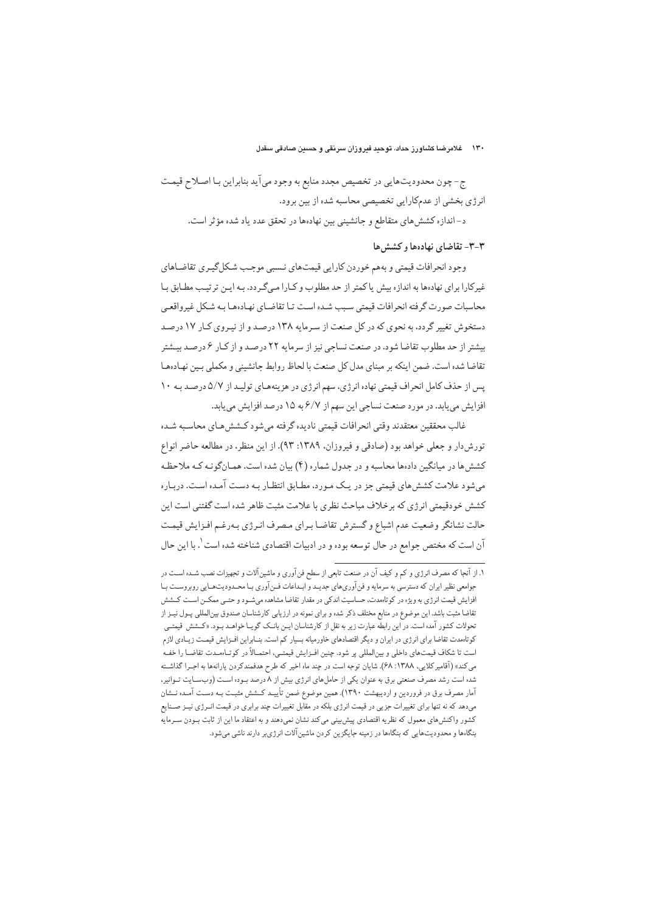#### ۱۳۰ خلامرضا کشاورز حداد، توحید فیروزان سرنقی و حسین صادقی سقدل

ج- چون محدوديتهايي در تخصيص مجدد منابع به وجود مي آيد بنابراين بـا اصـلاح قيمـت انرژی بخشی از عدمکارایی تخصیصی محاسبه شده از بین برود.

د-اندازه كشش هاى متقاطع و جانشيني بين نهادهها در تحقق عدد ياد شده مؤثر است.

#### ۳-۳- تقاضای نهادهها و کشش ها

وجود انحرافات قيمتي و بههم خوردن كارايي قيمت هاي نـسبي موجـب شكل گيـري تقاضـاهاي غیرکارا برای نهادهها به اندازه بیش یاکمتر از حد مطلوب و کـارا مـیگـردد. بـه ایـن ترتیـب مطـابق بـا محاسبات صورت گرفته انحرافات قیمتی سبب شیده است تبا تقاضیای نهیادهها بیه شبکل غیرواقعبی دستخوش تغییر گردد، به نحوی که در کل صنعت از سـرمایه ۱۳۸ درصـد و از نیـروی کـار ۱۷ درصـد بیشتر از حد مطلوب تقاضا شود. در صنعت نساجی نیز از سرمایه ۲۲ درصـد و از کـار ۶ درصـد بیـشتر تقاضا شده است. ضمن اینکه بر مبنای مدل کل صنعت با لحاظ روابط جانشینی و مکملی بین نهـادههـا پس از حذف کامل انحراف قیمتی نهاده انرژی، سهم انرژی در هزینههای تولید از ۵/۷ درصد به ۱۰ افزایش می یابد. در مورد صنعت نساجی این سهم از ۶/۷ به ۱۵ درصد افزایش می یابد.

غالب محققين معتقدند وقتى انحرافات قيمتي ناديده گرفته مىشود كـشش هـاي محاسـبه شـده تورش دار و جعلی خواهد بود (صادقی و فیروزان، ۱۳۸۹: ۹۳). از این منظر، در مطالعه حاضر انواع کشش ها در میانگین دادهها محاسبه و در جدول شماره (۴) بیان شده است. همـانگونـه کـه ملاحظـه می شود علامت کشش های قیمتی جز در یک مـورد، مطـابق انتظـار بـه دسـت آمـده اسـت. دربـاره کشش خودقیمتی انرژی که برخلاف مباحث نظری با علامت مثبت ظاهر شده است گفتنی است این حالت نشانگر وضعيت عدم اشباع و گسترش تقاضـا بـراي مـصرف انـرژي بـهرغـم افـزايش قيمـت آن است که مختص جوامع در حال توسعه بوده و در ادبیات اقتصادی شناخته شده است <sup>٬</sup>. با این حال

۱. از آنجا که مصرف انرژی و کم و کیف آن در صنعت تابعی از سطح فنآوری و ماشینآلات و تجهیزات نصب شـده اسـت در جوامعي نظير ايران كه دسترسي به سرمايه و فن آوريهاي جديـد و ابـداعات فـن آوري بـا محـدوديتهـايي روبروسـت بـا افزایش قیمت انرژی به ویژه در کوتاهمدت، حساسیت اندکی در مقدار تقاضا مشاهده میشـود و حتـی ممکـن اسـت کـشش تقاضا مثبت باشد. این موضوع در منابع مختلف ذکر شده و برای نمونه در ارزیابی کارشناسان صندوق بین|لمللی پـول نیـز از تحولات کشور آمده است. در این رابطه عبارت زیر به نقل از کارشناسان ایـن بانـک گویـا خواهـد بـود. «کـشش قیمتـی کوتاهمدت تقاضا برای انرژی در ایران و دیگر اقتصادهای خاورمیانه بسیار کم است. بنــابراین افــزایش قیمــت زیــادی لازم است تا شکاف قیمتهای داخلی و بینالمللی پر شود. چنین افـزایش قیمتـی، احتمـالاً در کوتـاهمـدت تقاضـا را خفـه می کند» (آقامیر کلایی، ۱۳۸۸: ۶۸). شایان توجه است در چند ماه اخیر که طرح هدفمندکردن یارانهها به اجـرا گذاشـته شده است رشد مصرف صنعتی برق به عنوان یکی از حاملهای انرژی بیش از ۸ درصد بـوده اسـت (وبسـایت تـوانیر، آمار مصرف برق در فروردین و اردیبهشت ۱۳۹۰). همین موضوع ضمن تأییـد کــشش مثبـت بـه دسـت آمـده نــشان میدهد که نه تنها برای تغییرات جزیی در قیمت انرژی بلکه در مقابل تغییرات چند برابری در قیمت انـرژی نیــز صــنایع کشور واکنشهای معمول که نظریه اقتصادی پیشبینی میکند نشان نمیدهند و به اعتقاد ما این از ثابت بـودن ســرمایه بنگاهها و محدودیتهایی که بنگاهها در زمینه جایگزین کردن ماشین آلات انرژی بر دارند ناشی می شود.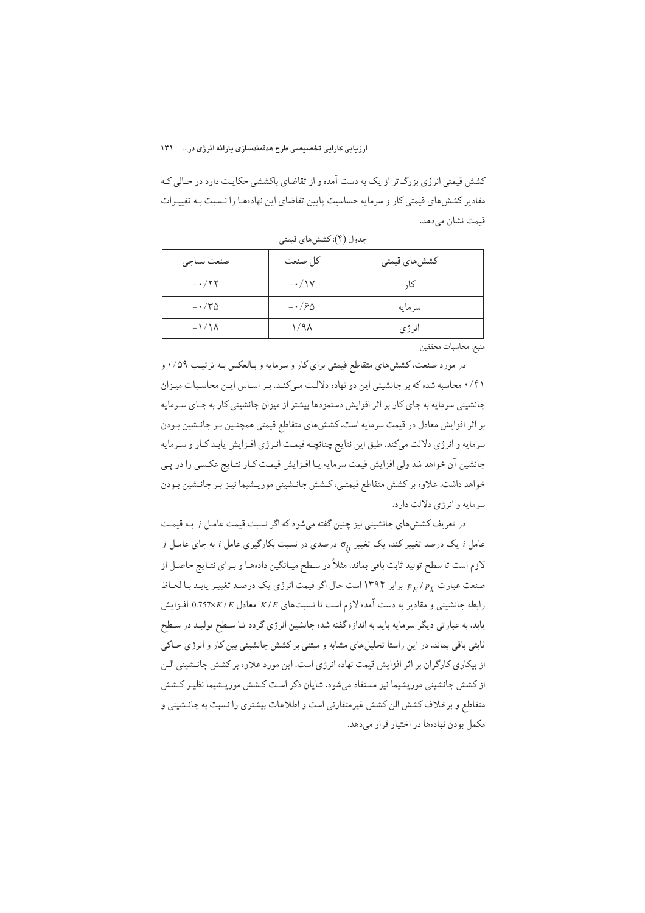#### ارزیابی کارایی تخصیصی طرح هدفمندسازی پارانه انرژی در... ۱۳۱

کشش قیمتی انرژی بزرگ تر از یک به دست آمده و از تقاضای باکششی حکایت دارد در حـالی کـه مقادیر کشش های قیمتی کار و سرمایه حساسیت پایین تقاضای این نهادهما را نـسبت بـه تغییـرات قیمت نشان مے دھد.

| صنعت نساجى           | كل صنعت         | كشش هاي قيمتي |
|----------------------|-----------------|---------------|
| $- \cdot 77$         | $-\cdot/\gamma$ | کا,           |
| $-\cdot$ /۳۵         | $-\cdot$ / $90$ | سرمايه        |
| $-\frac{1}{\Lambda}$ | ۱/۹۸            | انر ژی        |

جدول (۴): كشش هاي قيمتي

منبع: محاسبات محققين

در مورد صنعت، کشش های متقاطع قیمتی برای کار و سرمایه و بـالعکس بـه ترتیب ۰/۵۹ و ۰/۴۱ محاسبه شده که بر جانشینی این دو نهاده دلالت میکند. بر اساس این محاسبات میزان جانشینی سرمایه به جای کار بر اثر افزایش دستمزدها بیشتر از میزان جانشینی کار به جـای سـرمایه بر اثر افزایش معادل در قیمت سرمایه است. کشش های متقاطع قیمتی همچنـین بـر جانـشین بـودن سرمايه و انرژى دلالت مىكند. طبق اين نتايج چنانچـه قيمـت انـرژى افـزايش يابـد كـار و سـرمايه جانشین آن خواهد شد ولی افزایش قیمت سرمایه یا افـزایش قیمـت کـار نتـایج عکـسی را در پـی خواهد داشت. علاوه بر کشش متقاطع قیمتبی، کـشش جانـشینی موریـشیما نیـز بـر جانـشین بـودن سرمايه و انرژي دلالت دارد.

در تعریف کششهای جانشینی نیز چنین گفته میشود که اگر نسبت قیمت عامل ز بـه قیمت i مامل و یک درصد تغییر کند. یک تغییر  $\sigma_{ij}$  درصدی در نسبت بکارگیری عامل و به جای عامل و لازم است تا سطح تولید ثابت باقی بماند. مثلاً در سطح میـانگین دادهمـا و بـرای نتـایج حاصـل از صنعت عبارت pr / p برابر ۱۳۹۴ است حال اگر قیمت انرژی یک درصد تغییر یابد با لحاظ رابطه جانشینی و مقادیر به دست آمده لازم است تا نسبتهای K/E معادل 0.757×0.757 افـزایش یابد. به عبارتی دیگر سرمایه باید به اندازه گفته شده جانشین انرژی گردد تـا سـطح تولیـد در سـطح ثابتی باقی بماند. در این راستا تحلیلهای مشابه و مبتنی بر کشش جانشینی بین کار و انرژی حـاکی از بیکاری کارگران بر اثر افزایش قیمت نهاده انرژی است. این مورد علاوه بر کشش جانـشینی الـن از کشش جانشینی موریشیما نیز مستفاد میشود. شایان ذکر است کشش موریشیما نظیر کشش متقاطع و برخلاف کشش الن کشش غیرمتقارنی است و اطلاعات بیشتری را نسبت به جانـشینی و مکمل بودن نهادهها در اختیار قرار میدهد.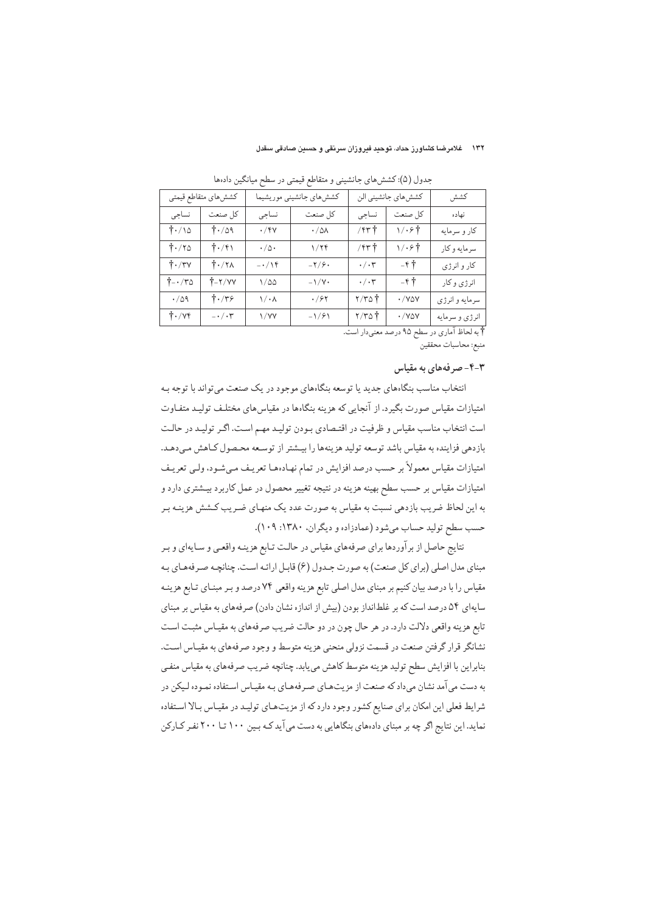#### ۱۳۲ غلامرضا کشاورز حداد، توحید فیروزان سرنقی و حسین صادقی سقدل

| كششءاي متقاطع قيمتي            |                                   | كشش هاى جانشيني موريشيما  |                       | كشش هاي جانشيني الن       |                     | كشش            |
|--------------------------------|-----------------------------------|---------------------------|-----------------------|---------------------------|---------------------|----------------|
| نساجى                          | كل صنعت                           | نساجى                     | كل صنعت               | نساجى                     | كل صنعت             | نهاده          |
| $\dagger$ ./10                 | $\uparrow \cdot / \circ \uparrow$ | $\cdot$ /۴۷               | $\cdot/\Delta\Lambda$ | $/$ $\uparrow$ $\uparrow$ | 1/.6个               | کار و سرمایه   |
| $\dagger$ ./۲۵                 | $\dag$ ./۴۱                       | $\cdot/\vartriangle\cdot$ | 1/79                  | $/$ $\uparrow$ $\uparrow$ | \/·۶†               | سرمايه وكار    |
| $\dagger \cdot / \tau v$       | $\dagger$ ./۲۸                    | $- \cdot / \backslash f$  | $-\frac{1}{2}$        | $\cdot/\cdot$ ۳           | $-\kappa +$         | کار و انرژی    |
| $\uparrow$ - $/\uparrow \circ$ | $\uparrow$ - $\uparrow$ /YY       | $1/\Delta\Delta$          | $-\frac{1}{Y}$        | $\cdot/\cdot$ r           | $-\kappa$ $\dagger$ | انرژی و کار    |
| $\cdot$ / $\Diamond$ q         | $\dagger \cdot /r$ ۶              | $1/\cdot \lambda$         | $\cdot$ /۶۲           | $\gamma/\gamma_0$ †       | $\cdot$ /Yay        | سرمايه و انرژى |
| $\dagger \cdot / \nu f$        | $-\cdot/\cdot \mathbf{y}$         | ۱/۷۷                      | $-1/91$               | $\gamma/\gamma_0$         | $\cdot$ /YQY        | انرژي و سرمايه |

جدول (۵): کشش های جانشینی و متقاطع قیمتی در سطح مبانگین دادهعا

† به لحاظ آماري در سطح ۹۵ درصد معنىدار است. منبع: محاسبات محققين

## ۴-۳ - صر فههای به مقیاس

انتخاب مناسب بنگاههای جدید یا توسعه بنگاههای موجود در یک صنعت می تواند با توجه بـه امتیازات مقیاس صورت بگیرد. از آنجایی که هزینه بنگاهها در مقیاس های مختلف تولیـد متفـاوت است انتخاب مناسب مقياس و ظرفيت در اقتـصادي بـودن توليـد مهـم اسـت. اگـر توليـد در حالـت بازدهی فزاینده به مقیاس باشد توسعه تولید هزینهها را بیـشتر از توسـعه محـصول كـاهش مـىدهـد. امتیازات مقیاس معمولاً بر حسب درصد افزایش در تمام نهـادهـا تعریـف مـیشـود، ولـی تعریـف امتیازات مقیاس بر حسب سطح بهینه هزینه در نتیجه تغییر محصول در عمل کاربرد بیـشتری دارد و به این لحاظ ضریب بازدهی نسبت به مقیاس به صورت عدد یک منهـای ضـریب کــشش هزینـه بـر حسب سطح توليد حساب مي شود (عمادزاده و ديگران، ١٣٨٠: ١٠٩).

نتایج حاصل از برآوردها برای صرفههای مقیاس در حالت تـابع هزینـه واقعـی و سـایهای و بـر مبنای مدل اصلی (برای کل صنعت) به صورت جـدول (۶) قابـل ارائـه اسـت. چنانچـه صـرفههـای بـه مقياس را با درصد بيان كنيم بر مبناي مدل اصلي تابع هزينه واقعي ٧٤ درصد و بـر مبنـاي تـابع هزينـه سایهای ۵۴ درصد است که بر غلطانداز بودن (بیش از اندازه نشان دادن) صرفههای به مقیاس بر مبنای تابع هزينه واقعي دلالت دارد. در هر حال چون در دو حالت ضريب صرفههاي به مقيـاس مثبـت اسـت نشانگر قرار گرفتن صنعت در قسمت نزولی منحنی هزینه متوسط و وجود صرفههای به مقیـاس اسـت. بنابراين با افزايش سطح توليد هزينه متوسط كاهش مى يابد. چنانچه ضريب صرفههاى به مقياس منفي به دست می آمد نشان میداد که صنعت از مزیتهای صرفههای بـه مقیـاس اسـتفاده نمـوده لـیکن در شرایط فعلی این امکان برای صنایع کشور وجود دارد که از مزیتهای تولید در مقیاس بالا استفاده نماید. این نتایج اگر چه بر مبنای دادههای بنگاهایی به دست می آید کـه بـین ۱۰۰ تـا ۲۰۰ نفـر کـارکن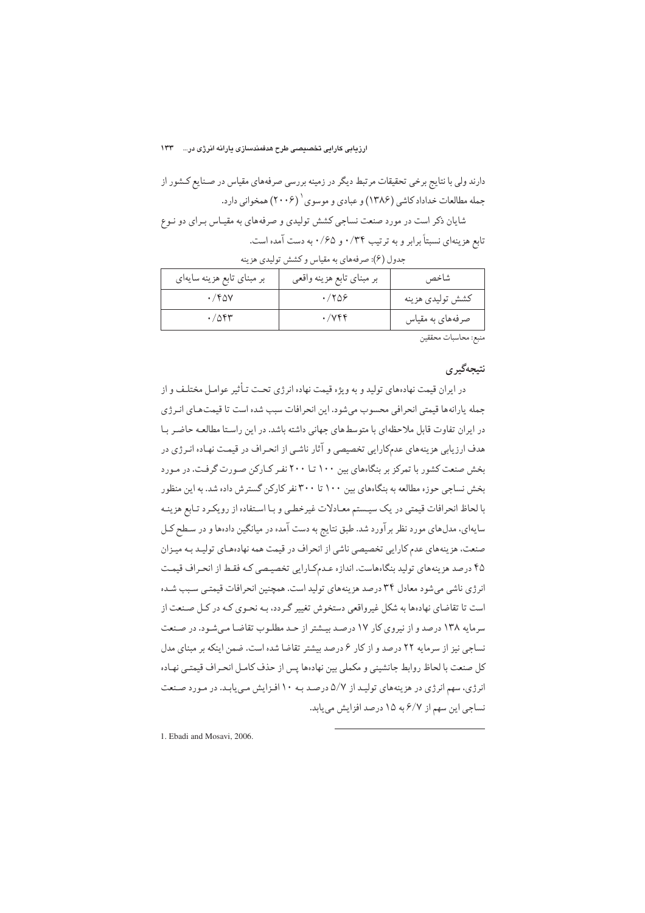#### ارزیابی کارایی تخصیصی طرح هدفمندسازی یارانه انرژی در... 1۳۳

دارند ولی با نتایج برخی تحقیقات مرتبط دیگر در زمینه بررسی صرفههای مقیاس در صـنایع کـشور از جمله مطالعات خداداد کاشی (۱۳۸۶) و عبادی و موسوی ۲۰۰۶) همخوانی دارد. شایان ذکر است در مورد صنعت نساجی کشش تولیدی و صرفههای به مقیـاس بـرای دو نـوع تابع هزینهای نسبتاً برابر و به ترتیب ۰/۳۴ و ۰/۶۵ به دست آمده است.

جدول (۶): صرفههای به مقیاس و کشش تولیدی هزینه

| $\cdot$ /۴۵۷<br>.788<br>كشش توليدي هزينه<br>.7084<br>$\cdot$ / $\vee$ $\circ$ $\circ$<br>صرفههای به مقیاس | بر مبنای تابع هزینه سایهای | بر مبناي تابع هزينه واقعي | شاخص |
|-----------------------------------------------------------------------------------------------------------|----------------------------|---------------------------|------|
|                                                                                                           |                            |                           |      |
|                                                                                                           |                            |                           |      |

منبع: محاسبات محققين

#### نتيجەگير ي

در ایران قیمت نهادههای تولید و به ویژه قیمت نهاده انرژی تحت تـأثیر عوامـل مختلـف و از جمله يارانهها قيمتي انحرافي محسوب مي شود. اين انحرافات سبب شده است تا قيمتهاي انـرژي در ایران تفاوت قابل ملاحظهای با متوسطهای جهانی داشته باشد. در این راستا مطالعه حاضر با هدف ارزیابی هزینههای عدمکارایی تخصیصی و آثار ناشبی از انحـراف در قیمـت نهـاده انـرژی در بخش صنعت کشور با تمرکز بر بنگاههای بین ۱۰۰ تـا ۲۰۰ نفـر کـارکن صـورت گرفـت. در مـورد بخش نساجی حوزه مطالعه به بنگاههای بین ۱۰۰ تا ۳۰۰نفر کارکن گسترش داده شد. به این منظور با لحاظ انحرافات قیمتی در یک سیستم معـادلات غیرخطبی و بـا اسـتفاده از رویکـرد تـابع هزینـه سایهای، مدلهای مورد نظر برآورد شد. طبق نتایج به دست آمده در میانگین دادهها و در سطح کـل صنعت، هزینههای عدم کارایی تخصیصی ناشی از انحراف در قیمت همه نهادههای تولید به میـزان ۴۵ درصد هزینههای تولید بنگاههاست. اندازه عـدمکـارایی تخصیـصی کـه فقـط از انحـراف قیمـت انرژی ناشی میشود معادل ۳۴ درصد هزینههای تولید است. همچنین انحرافات قیمتی سبب شده است تا تقاضای نهادهها به شکل غیرواقعی دستخوش تغییر گـردد، بـه نحـوی کـه در کـل صـنعت از سرمایه ۱۳۸ درصد و از نیروی کار ۱۷ درصد بیشتر از حد مطلوب تقاضا میشود. در صنعت نساجی نیز از سرمایه ۲۲ درصد و از کار ۶ درصد بیشتر تقاضا شده است. ضمن اینکه بر مبنای مدل كل صنعت با لحاظ روابط جانشيني و مكملي بين نهادهها پس از حذف كامل انحراف قيمتـي نهـاده انرژی، سهم انرژی در هزینههای تولید از ۵/۷ درصد به ۱۰ افزایش می یابد. در مورد صنعت نساجي اين سهم از ۶/۷ به ۱۵ درصد افزايش مي يابد.

1. Ebadi and Mosavi, 2006.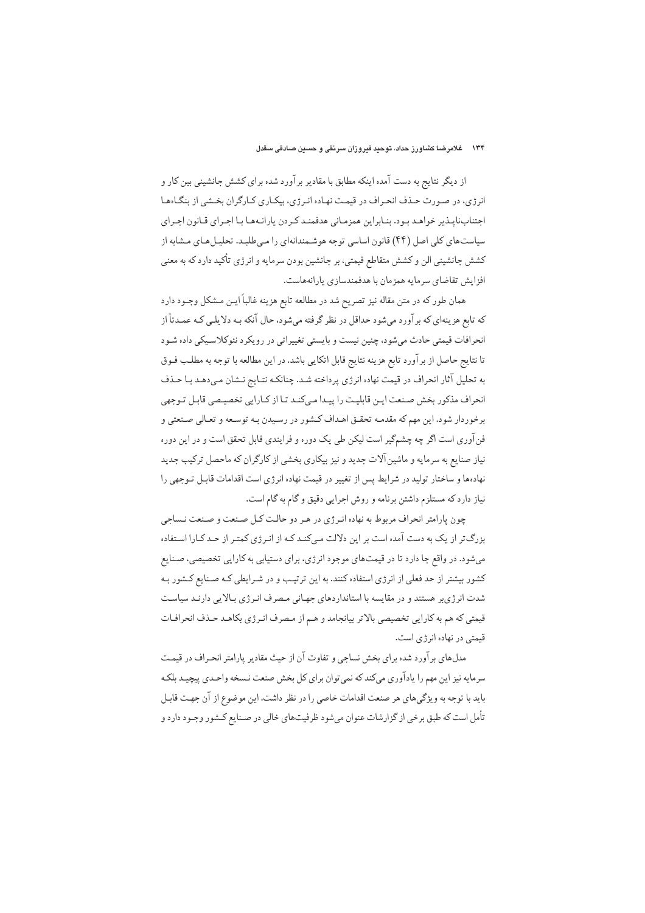#### ۱۳۴ – غلامرضا کشاورز حداد، توحید فیروزان سرنقی و حسین صادقی سقدل

از دیگر نتایج به دست آمده اینکه مطابق با مقادیر برآورد شده برای کشش جانشینی بین کار و انرژی، در صورت حـذف انحـراف در قیمـت نهـاده انـرژی، بیکـاری کـارگران بخـشی از بنگـاهعـا اجتناب نايبذير خواهيد بيود. بنـابراين همزمـاني هدفمنـد كـردن يارانـههـا بـا اجـراي قـانون اجـراي سیاست های کلی اصل (۴۴) قانون اساسی توجه هوشمندانهای را می طلبد. تحلیل هـای مشابه از کشش جانشینی الن و کشش متقاطع قیمتی، بر جانشین بودن سرمایه و انرژی تأکید دارد که به معنی افزايش تقاضاي سرمايه همزمان با هدفمندسازي پارانههاست.

همان طور که در متن مقاله نیز تصریح شد در مطالعه تابع هزینه غالباً ایـن مـشکل وجـود دارد که تابع هزینهای که برآورد میشود حداقل در نظر گرفته میشود، حال آنکه بـه دلایلـی کـه عمـدتاً از انحرافات قیمتی حادث میشود، چنین نیست و بایستی تغییراتی در رویکرد نئوکلاسیکی داده شـود تا نتايج حاصل از برآورد تابع هزينه نتايج قابل اتكايي باشد. در اين مطالعه با توجه به مطلب فـوق به تحلیل آثار انحراف در قیمت نهاده انرژی پرداخته شـد. چنانکـه نتـایج نـشان مـیدهـد بـا حـذف انحراف مذکور بخش صنعت ایـن قابلیـت را پیـدا مـىکنـد تـا از کـارایى تخصیـصى قابـل تـوجهى برخوردار شود. این مهم که مقدمـه تحقـق اهـداف کـشور در رسـیدن بـه توسـعه و تعـالي صـنعتي و فن آوري است اگر چه چشمگير است ليكن طي يک دوره و فرايندي قابل تحقق است و در اين دوره نیاز صنایع به سرمایه و ماشین آلات جدید و نیز بیکاری بخشی از کارگران که ماحصل ترکیب جدید نهادهها و ساختار تولید در شرایط پس از تغییر در قیمت نهاده انرژی است اقدامات قابل تـوجهی را نیاز دارد که مستلزم داشتن برنامه و روش اجرایی دقیق و گام به گام است.

چون پارامتر انحراف مربوط به نهاده انـرژى در هـر دو حالـت كـل صـنعت و صـنعت نـساجى بزرگ تر از یک به دست آمده است بر این دلالت میکند کـه از انـرژی کمتـر از حـد کـارا اسـتفاده میشود. در واقع جا دارد تا در قیمتهای موجود انرژی، برای دستیابی به کارایی تخصیصی، صـنایع کشور بیشتر از حد فعلی از انرژی استفاده کنند. به این ترتیب و در شـرایطی کـه صـنایع کـشور بـه شدت انرژی بر هستند و در مقایسه با استانداردهای جهانی مصرف انـرژی بـالایی دارنـد سیاسـت قیمتی که هم به کارایی تخصیصی بالاتر بیانجامد و هـم از مـصرف انـرژي بکاهـد حـذف انحرافـات قىمتى در نهاده انرژى است.

مدلهای برآورد شده برای بخش نساجی و تفاوت آن از حیث مقادیر پارامتر انحـراف در قیمـت سرمايه نيز اين مهم را يادآوري مي كند كه نمي توان براي كل بخش صنعت نـسخه واحـدي پيچيـد بلكـه بايد با توجه به ويژگىهاى هر صنعت اقدامات خاصى را در نظر داشت. اين موضوع از آن جهت قابـل تأمل است که طبق برخی از گزارشات عنوان میشود ظرفیتهای خالی در صـنایع کـشور وجـود دارد و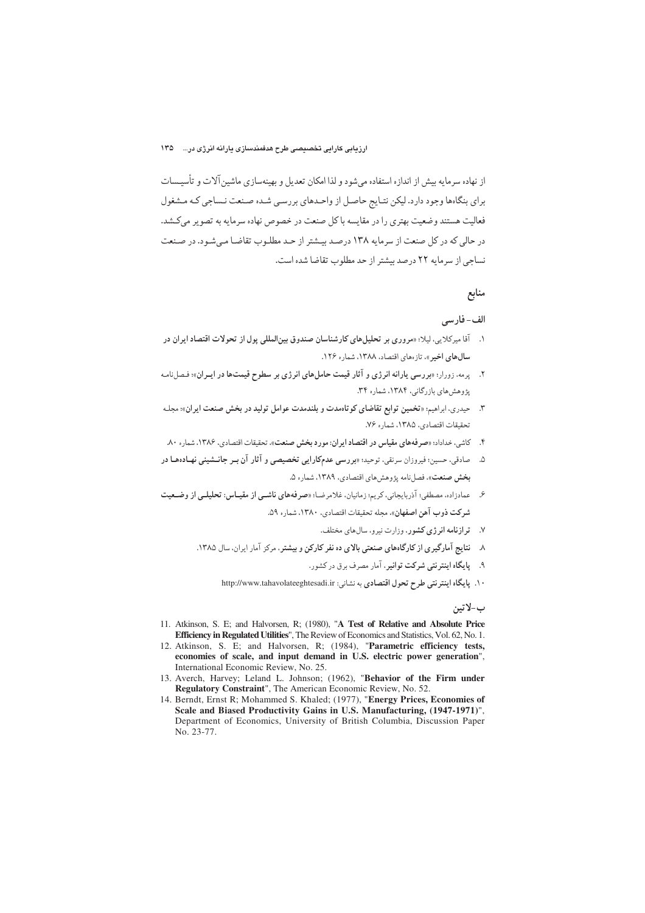از نهاده سرمایه بیش از اندازه استفاده میشود و لذا امکان تعدیل و بهینهسازی ماشین آلات و تأسیـسات برای بنگاهها وجود دارد. لیکن نتـایج حاصـل از واحـدهای بررسـی شـده صـنعت نـساجی کـه مـشغول فعالیت هستند وضعیت بهتری را در مقایسه باکل صنعت در خصوص نهاده سرمایه به تصویر میکشد. در حالی که در کل صنعت از سرمایه ۱۳۸ درصد بیشتر از حـد مطلـوب تقاضـا مـی شـود. در صـنعت نساجی از سرمایه ۲۲ درصد بیشتر از حد مطلوب تقاضا شده است.

## منابع

#### الف- فار سے

- ۱. آقا میرکلایی، لیلا؛ «مروری بر تحلیل های کارشناسان صندوق بین المللی پول از تحولات اقتصاد ایران در سال های اخیر »، تاز معای اقتصاد، ۱۳۸۸، شمار و ۱۲۶.
- ۲. پرمه، زورار؛ «بررسی یارانه انرژی و آثار قیمت حاملهای انرژی بر سطوح قیمتها در ایــران»؛ فـصلنامـه یژوهش های بازرگانی، ۱۳۸۴، شماره ۳۴.
- ۳. حیدری، ابراهیم: «تخمین توابع تقاضای کوتاهمدت و بلندمدت عوامل تولید در بخش صنعت ایران»؛ مجله تحقيقات اقتصادي، ١٣٨٥، شماره ٧۶.
- ۴. كاشي، خداداد؛ «صر فههاي مقياس در اقتصاد ايران: مورد بخش صنعت»، تحقيقات اقتصادي، ۱۳۸۶، شماره ۸۰.
- ۵. مصادقی، حسین؛ فیروزان سرنقی، توحید؛ «بررسی عدمکارایی تخصیصی و آثار آن بـر جانــشینی نهـادههـا در بخش صنعت»، فصل نامه پژوهش های اقتصادی، ۱۳۸۹، شماره ۵.
- ۶. عمادزاده، مصطفى؛ آذربايجاني، كريم؛ زمانيان، غلامرضـا؛ «صرفههاي ناشـبي از مقيـاس: تحليلـي از وضـعيت شركت ذوب آهن اصفهان». مجله تحقيقات اقتصادي، ١٣٨٠، شماره ٥٩.
	- ۷. ترا**زنامه ان**رژی کشور، وزارت نیرو، سال های مختلف.
	- ۸ نتایج آمارگیری از کارگاههای صنعتی بالای ده نفر کارکن و بیشتر، مرکز آمار ایران. سال ۱۳۸۵.
		- ۹. پایگاه اینترنتی شرکت توانیر. آمار مصرف برق در کشور.
		- ١٠. يا يكاه اينترنتي طرح تحول اقتصادي به نشاني: http://www.tahavolateeghtesadi.ir

ب-لاتين

- 11. Atkinson, S. E; and Halvorsen, R; (1980), "A Test of Relative and Absolute Price Efficiency in Regulated Utilities", The Review of Economics and Statistics, Vol. 62, No. 1.
- 12. Atkinson, S. E; and Halvorsen, R; (1984), "Parametric efficiency tests, economies of scale, and input demand in U.S. electric power generation", International Economic Review, No. 25.
- 13. Averch, Harvey; Leland L. Johnson; (1962), "Behavior of the Firm under Regulatory Constraint", The American Economic Review, No. 52.
- 14. Berndt, Ernst R; Mohammed S. Khaled; (1977), "Energy Prices, Economies of Scale and Biased Productivity Gains in U.S. Manufacturing, (1947-1971)", Department of Economics, University of British Columbia, Discussion Paper No. 23-77.